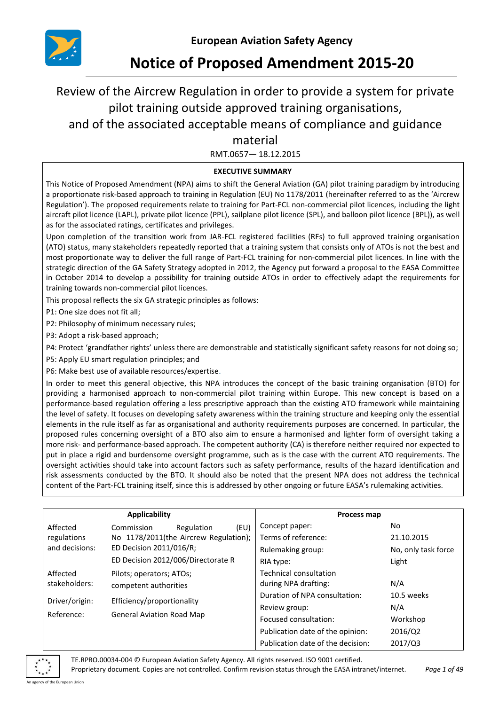

# **Notice of Proposed Amendment 2015-20**

## Review of the Aircrew Regulation in order to provide a system for private pilot training outside approved training organisations, and of the associated acceptable means of compliance and guidance

## material

RMT.0657— 18.12.2015

## **EXECUTIVE SUMMARY**

This Notice of Proposed Amendment (NPA) aims to shift the General Aviation (GA) pilot training paradigm by introducing a proportionate risk-based approach to training in Regulation (EU) No 1178/2011 (hereinafter referred to as the 'Aircrew Regulation'). The proposed requirements relate to training for Part-FCL non-commercial pilot licences, including the light aircraft pilot licence (LAPL), private pilot licence (PPL), sailplane pilot licence (SPL), and balloon pilot licence (BPL)), as well as for the associated ratings, certificates and privileges.

Upon completion of the transition work from JAR-FCL registered facilities (RFs) to full approved training organisation (ATO) status, many stakeholders repeatedly reported that a training system that consists only of ATOs is not the best and most proportionate way to deliver the full range of Part-FCL training for non-commercial pilot licences. In line with the strategic direction of the GA Safety Strategy adopted in 2012, the Agency put forward a proposal to the EASA Committee in October 2014 to develop a possibility for training outside ATOs in order to effectively adapt the requirements for training towards non-commercial pilot licences.

This proposal reflects the six GA strategic principles as follows:

P1: One size does not fit all;

P2: Philosophy of minimum necessary rules;

P3: Adopt a risk-based approach;

P4: Protect 'grandfather rights' unless there are demonstrable and statistically significant safety reasons for not doing so;

P5: Apply EU smart regulation principles; and

P6: Make best use of available resources/expertise.

In order to meet this general objective, this NPA introduces the concept of the basic training organisation (BTO) for providing a harmonised approach to non-commercial pilot training within Europe. This new concept is based on a performance-based regulation offering a less prescriptive approach than the existing ATO framework while maintaining the level of safety. It focuses on developing safety awareness within the training structure and keeping only the essential elements in the rule itself as far as organisational and authority requirements purposes are concerned. In particular, the proposed rules concerning oversight of a BTO also aim to ensure a harmonised and lighter form of oversight taking a more risk- and performance-based approach. The competent authority (CA) is therefore neither required nor expected to put in place a rigid and burdensome oversight programme, such as is the case with the current ATO requirements. The oversight activities should take into account factors such as safety performance, results of the hazard identification and risk assessments conducted by the BTO. It should also be noted that the present NPA does not address the technical content of the Part-FCL training itself, since this is addressed by other ongoing or future EASA's rulemaking activities.

|                                              | Applicability                         |                          |                               | Process map                       |                     |
|----------------------------------------------|---------------------------------------|--------------------------|-------------------------------|-----------------------------------|---------------------|
| Affected                                     | Commission                            | Regulation               | (EU)                          | Concept paper:                    | No.                 |
| regulations                                  | No 1178/2011(the Aircrew Regulation); |                          |                               | Terms of reference:               | 21.10.2015          |
| and decisions:                               | ED Decision 2011/016/R;               |                          |                               | Rulemaking group:                 | No, only task force |
|                                              | ED Decision 2012/006/Directorate R    |                          |                               | RIA type:                         | Light               |
| Affected                                     |                                       | Pilots; operators; ATOs; |                               | Technical consultation            |                     |
| stakeholders:                                | competent authorities                 |                          |                               | during NPA drafting:              | N/A                 |
| Driver/origin:<br>Efficiency/proportionality |                                       |                          | Duration of NPA consultation: | 10.5 weeks                        |                     |
|                                              |                                       |                          |                               | Review group:                     | N/A                 |
| Reference:                                   | <b>General Aviation Road Map</b>      |                          |                               | Focused consultation:             | Workshop            |
|                                              |                                       |                          |                               | Publication date of the opinion:  | 2016/Q2             |
|                                              |                                       |                          |                               | Publication date of the decision: | 2017/Q3             |

TE.RPRO.00034-004 © European Aviation Safety Agency. All rights reserved. ISO 9001 certified.

Proprietary document. Copies are not controlled. Confirm revision status through the EASA intranet/internet. *Page 1 of 49*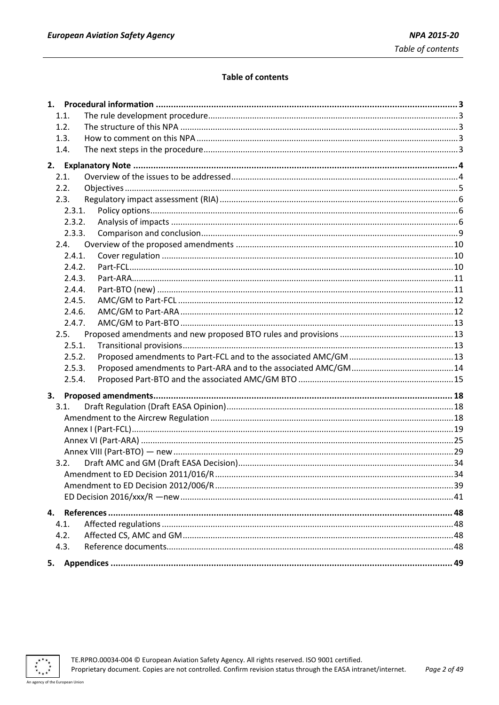## **Table of contents**

| 1.1.   |  |
|--------|--|
| 1.2.   |  |
| 1.3.   |  |
| 1.4.   |  |
|        |  |
| 2.1.   |  |
| 2.2.   |  |
| 2.3.   |  |
| 2.3.1. |  |
| 2.3.2. |  |
| 2.3.3. |  |
| 2.4.   |  |
| 2.4.1. |  |
| 2.4.2. |  |
| 2.4.3. |  |
| 2.4.4. |  |
| 2.4.5. |  |
| 2.4.6. |  |
| 2.4.7. |  |
| 2.5.   |  |
| 2.5.1. |  |
| 2.5.2. |  |
| 2.5.3. |  |
| 2.5.4. |  |
|        |  |
| 3.1.   |  |
|        |  |
|        |  |
|        |  |
|        |  |
| 3.2.   |  |
|        |  |
|        |  |
|        |  |
|        |  |
| 4.1.   |  |
| 4.2.   |  |
| 4.3.   |  |
|        |  |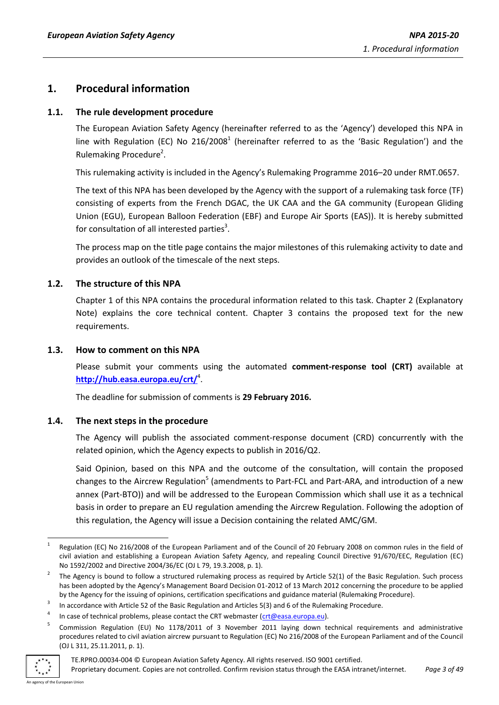## <span id="page-2-0"></span>**1. Procedural information**

## <span id="page-2-1"></span>**1.1. The rule development procedure**

The European Aviation Safety Agency (hereinafter referred to as the 'Agency') developed this NPA in line with Regulation (EC) No 216/2008<sup>1</sup> (hereinafter referred to as the 'Basic Regulation') and the Rulemaking Procedure<sup>2</sup>.

This rulemaking activity is included in the Agency's Rulemaking Programme 2016–20 under RMT.0657.

The text of this NPA has been developed by the Agency with the support of a rulemaking task force (TF) consisting of experts from the French DGAC, the UK CAA and the GA community (European Gliding Union (EGU), European Balloon Federation (EBF) and Europe Air Sports (EAS)). It is hereby submitted for consultation of all interested parties<sup>3</sup>.

The process map on the title page contains the major milestones of this rulemaking activity to date and provides an outlook of the timescale of the next steps.

## <span id="page-2-2"></span>**1.2. The structure of this NPA**

Chapter 1 of this NPA contains the procedural information related to this task. Chapter 2 (Explanatory Note) explains the core technical content. Chapter 3 contains the proposed text for the new requirements.

## <span id="page-2-3"></span>**1.3. How to comment on this NPA**

Please submit your comments using the automated **comment-response tool (CRT)** available at **<http://hub.easa.europa.eu/crt/>**<sup>4</sup> .

The deadline for submission of comments is **29 February 2016.**

## <span id="page-2-4"></span>**1.4. The next steps in the procedure**

The Agency will publish the associated comment-response document (CRD) concurrently with the related opinion, which the Agency expects to publish in 2016/Q2.

Said Opinion, based on this NPA and the outcome of the consultation, will contain the proposed changes to the Aircrew Regulation<sup>5</sup> (amendments to Part-FCL and Part-ARA, and introduction of a new annex (Part-BTO)) and will be addressed to the European Commission which shall use it as a technical basis in order to prepare an EU regulation amending the Aircrew Regulation. Following the adoption of this regulation, the Agency will issue a Decision containing the related AMC/GM.

<sup>5</sup> Commission Regulation (EU) No 1178/2011 of 3 November 2011 laying down technical requirements and administrative procedures related to civil aviation aircrew pursuant to Regulation (EC) No 216/2008 of the European Parliament and of the Council (OJ L 311, 25.11.2011, p. 1).



<sup>1</sup> 1 Regulation (EC) No 216/2008 of the European Parliament and of the Council of 20 February 2008 on common rules in the field of civil aviation and establishing a European Aviation Safety Agency, and repealing Council Directive 91/670/EEC, Regulation (EC) No 1592/2002 and Directive 2004/36/EC (OJ L 79, 19.3.2008, p. 1).

<sup>2</sup> The Agency is bound to follow a structured rulemaking process as required by Article 52(1) of the Basic Regulation. Such process has been adopted by the Agency's Management Board Decision 01-2012 of 13 March 2012 concerning the procedure to be applied by the Agency for the issuing of opinions, certification specifications and guidance material (Rulemaking Procedure).

<sup>3</sup> In accordance with Article 52 of the Basic Regulation and Articles 5(3) and 6 of the Rulemaking Procedure.

<sup>4</sup> In case of technical problems, please contact the CRT webmaster [\(crt@easa.europa.eu\)](mailto:crt@easa.europa.eu).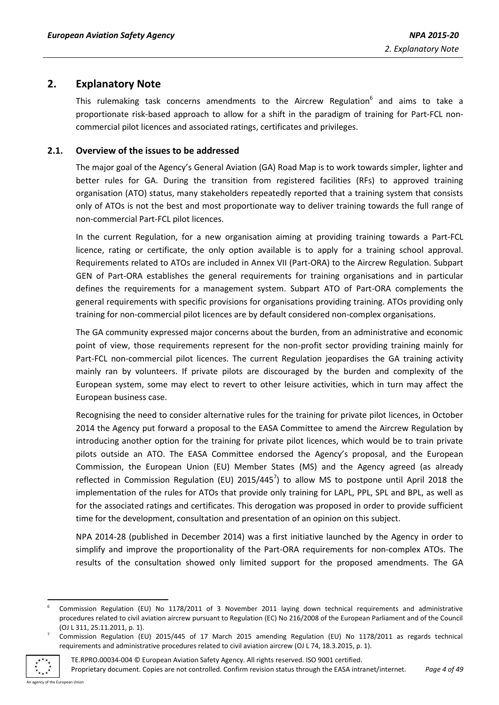## <span id="page-3-0"></span>**2. Explanatory Note**

This rulemaking task concerns amendments to the Aircrew Regulation<sup>6</sup> and aims to take a proportionate risk-based approach to allow for a shift in the paradigm of training for Part-FCL noncommercial pilot licences and associated ratings, certificates and privileges.

## <span id="page-3-1"></span>**2.1. Overview of the issues to be addressed**

The major goal of the Agency's General Aviation (GA) Road Map is to work towards simpler, lighter and better rules for GA. During the transition from registered facilities (RFs) to approved training organisation (ATO) status, many stakeholders repeatedly reported that a training system that consists only of ATOs is not the best and most proportionate way to deliver training towards the full range of non-commercial Part-FCL pilot licences.

In the current Regulation, for a new organisation aiming at providing training towards a Part-FCL licence, rating or certificate, the only option available is to apply for a training school approval. Requirements related to ATOs are included in Annex VII (Part-ORA) to the Aircrew Regulation. Subpart GEN of Part-ORA establishes the general requirements for training organisations and in particular defines the requirements for a management system. Subpart ATO of Part-ORA complements the general requirements with specific provisions for organisations providing training. ATOs providing only training for non-commercial pilot licences are by default considered non-complex organisations.

The GA community expressed major concerns about the burden, from an administrative and economic point of view, those requirements represent for the non-profit sector providing training mainly for Part-FCL non-commercial pilot licences. The current Regulation jeopardises the GA training activity mainly ran by volunteers. If private pilots are discouraged by the burden and complexity of the European system, some may elect to revert to other leisure activities, which in turn may affect the European business case.

Recognising the need to consider alternative rules for the training for private pilot licences, in October 2014 the Agency put forward a proposal to the EASA Committee to amend the Aircrew Regulation by introducing another option for the training for private pilot licences, which would be to train private pilots outside an ATO. The EASA Committee endorsed the Agency's proposal, and the European Commission, the European Union (EU) Member States (MS) and the Agency agreed (as already reflected in Commission Regulation (EU)  $2015/445^7$ ) to allow MS to postpone until April 2018 the implementation of the rules for ATOs that provide only training for LAPL, PPL, SPL and BPL, as well as for the associated ratings and certificates. This derogation was proposed in order to provide sufficient time for the development, consultation and presentation of an opinion on this subject.

NPA 2014-28 (published in December 2014) was a first initiative launched by the Agency in order to simplify and improve the proportionality of the Part-ORA requirements for non-complex ATOs. The results of the consultation showed only limited support for the proposed amendments. The GA

<sup>7</sup> Commission Regulation (EU) 2015/445 of 17 March 2015 amending Regulation (EU) No 1178/2011 as regards technical requirements and administrative procedures related to civil aviation aircrew (OJ L 74, 18.3.2015, p. 1).



<sup>1</sup> 6 Commission Regulation (EU) No 1178/2011 of 3 November 2011 laying down technical requirements and administrative procedures related to civil aviation aircrew pursuant to Regulation (EC) No 216/2008 of the European Parliament and of the Council (OJ L 311, 25.11.2011, p. 1).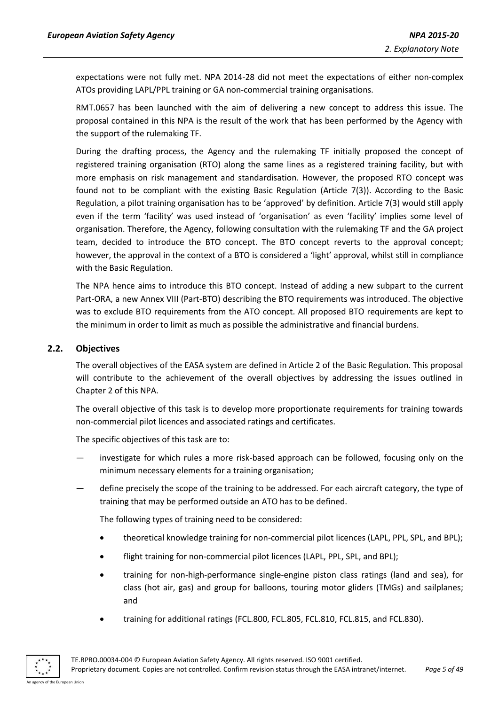expectations were not fully met. NPA 2014-28 did not meet the expectations of either non-complex ATOs providing LAPL/PPL training or GA non-commercial training organisations.

RMT.0657 has been launched with the aim of delivering a new concept to address this issue. The proposal contained in this NPA is the result of the work that has been performed by the Agency with the support of the rulemaking TF.

During the drafting process, the Agency and the rulemaking TF initially proposed the concept of registered training organisation (RTO) along the same lines as a registered training facility, but with more emphasis on risk management and standardisation. However, the proposed RTO concept was found not to be compliant with the existing Basic Regulation (Article 7(3)). According to the Basic Regulation, a pilot training organisation has to be 'approved' by definition. Article 7(3) would still apply even if the term 'facility' was used instead of 'organisation' as even 'facility' implies some level of organisation. Therefore, the Agency, following consultation with the rulemaking TF and the GA project team, decided to introduce the BTO concept. The BTO concept reverts to the approval concept; however, the approval in the context of a BTO is considered a 'light' approval, whilst still in compliance with the Basic Regulation.

The NPA hence aims to introduce this BTO concept. Instead of adding a new subpart to the current Part-ORA, a new Annex VIII (Part-BTO) describing the BTO requirements was introduced. The objective was to exclude BTO requirements from the ATO concept. All proposed BTO requirements are kept to the minimum in order to limit as much as possible the administrative and financial burdens.

## <span id="page-4-0"></span>**2.2. Objectives**

The overall objectives of the EASA system are defined in Article 2 of the Basic Regulation. This proposal will contribute to the achievement of the overall objectives by addressing the issues outlined in Chapter 2 of this NPA.

The overall objective of this task is to develop more proportionate requirements for training towards non-commercial pilot licences and associated ratings and certificates.

The specific objectives of this task are to:

- investigate for which rules a more risk-based approach can be followed, focusing only on the minimum necessary elements for a training organisation;
- define precisely the scope of the training to be addressed. For each aircraft category, the type of training that may be performed outside an ATO has to be defined.

The following types of training need to be considered:

- theoretical knowledge training for non-commercial pilot licences (LAPL, PPL, SPL, and BPL);
- flight training for non-commercial pilot licences (LAPL, PPL, SPL, and BPL);
- training for non-high-performance single-engine piston class ratings (land and sea), for class (hot air, gas) and group for balloons, touring motor gliders (TMGs) and sailplanes; and
- training for additional ratings (FCL.800, FCL.805, FCL.810, FCL.815, and FCL.830).

An agency of the European Union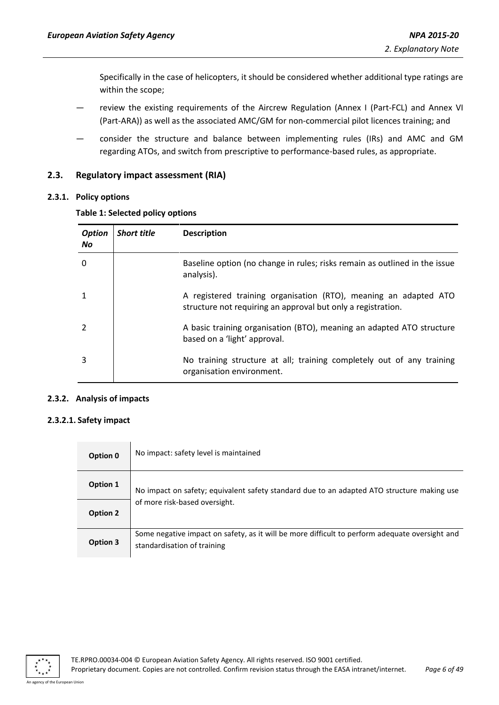Specifically in the case of helicopters, it should be considered whether additional type ratings are within the scope;

- review the existing requirements of the Aircrew Regulation (Annex I (Part-FCL) and Annex VI (Part-ARA)) as well as the associated AMC/GM for non-commercial pilot licences training; and
- consider the structure and balance between implementing rules (IRs) and AMC and GM regarding ATOs, and switch from prescriptive to performance-based rules, as appropriate.

## <span id="page-5-0"></span>**2.3. Regulatory impact assessment (RIA)**

## <span id="page-5-1"></span>**2.3.1. Policy options**

#### **Table 1: Selected policy options**

| <b>Option</b><br><b>No</b> | <b>Short title</b> | <b>Description</b>                                                                                                               |
|----------------------------|--------------------|----------------------------------------------------------------------------------------------------------------------------------|
| 0                          |                    | Baseline option (no change in rules; risks remain as outlined in the issue<br>analysis).                                         |
|                            |                    | A registered training organisation (RTO), meaning an adapted ATO<br>structure not requiring an approval but only a registration. |
|                            |                    | A basic training organisation (BTO), meaning an adapted ATO structure<br>based on a 'light' approval.                            |
| 3                          |                    | No training structure at all; training completely out of any training<br>organisation environment.                               |

#### <span id="page-5-2"></span>**2.3.2. Analysis of impacts**

#### **2.3.2.1. Safety impact**

| Option 0        | No impact: safety level is maintained                                                                                         |  |  |  |  |
|-----------------|-------------------------------------------------------------------------------------------------------------------------------|--|--|--|--|
| Option 1        | No impact on safety; equivalent safety standard due to an adapted ATO structure making use                                    |  |  |  |  |
| <b>Option 2</b> | of more risk-based oversight.                                                                                                 |  |  |  |  |
| Option 3        | Some negative impact on safety, as it will be more difficult to perform adequate oversight and<br>standardisation of training |  |  |  |  |

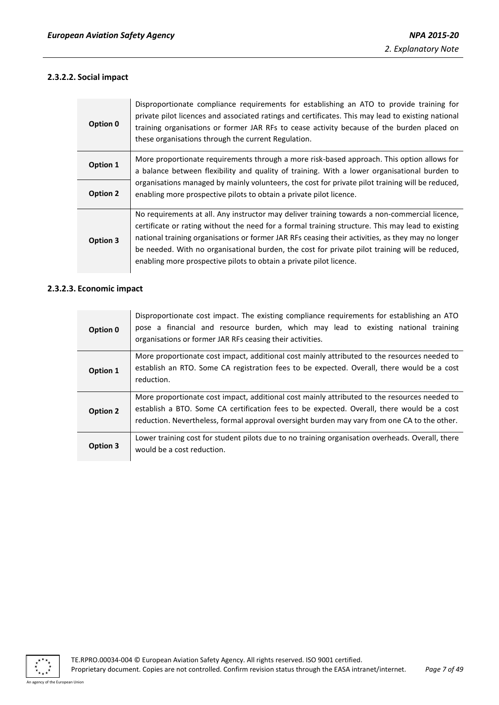## **2.3.2.2. Social impact**

| Option 0        | Disproportionate compliance requirements for establishing an ATO to provide training for<br>private pilot licences and associated ratings and certificates. This may lead to existing national<br>training organisations or former JAR RFs to cease activity because of the burden placed on<br>these organisations through the current Regulation.                                                                                                                              |
|-----------------|----------------------------------------------------------------------------------------------------------------------------------------------------------------------------------------------------------------------------------------------------------------------------------------------------------------------------------------------------------------------------------------------------------------------------------------------------------------------------------|
| Option 1        | More proportionate requirements through a more risk-based approach. This option allows for<br>a balance between flexibility and quality of training. With a lower organisational burden to                                                                                                                                                                                                                                                                                       |
| <b>Option 2</b> | organisations managed by mainly volunteers, the cost for private pilot training will be reduced,<br>enabling more prospective pilots to obtain a private pilot licence.                                                                                                                                                                                                                                                                                                          |
| Option 3        | No requirements at all. Any instructor may deliver training towards a non-commercial licence,<br>certificate or rating without the need for a formal training structure. This may lead to existing<br>national training organisations or former JAR RFs ceasing their activities, as they may no longer<br>be needed. With no organisational burden, the cost for private pilot training will be reduced,<br>enabling more prospective pilots to obtain a private pilot licence. |

#### **2.3.2.3. Economic impact**

| Option 0 | Disproportionate cost impact. The existing compliance requirements for establishing an ATO<br>pose a financial and resource burden, which may lead to existing national training<br>organisations or former JAR RFs ceasing their activities.                                              |
|----------|--------------------------------------------------------------------------------------------------------------------------------------------------------------------------------------------------------------------------------------------------------------------------------------------|
| Option 1 | More proportionate cost impact, additional cost mainly attributed to the resources needed to<br>establish an RTO. Some CA registration fees to be expected. Overall, there would be a cost<br>reduction.                                                                                   |
| Option 2 | More proportionate cost impact, additional cost mainly attributed to the resources needed to<br>establish a BTO. Some CA certification fees to be expected. Overall, there would be a cost<br>reduction. Nevertheless, formal approval oversight burden may vary from one CA to the other. |
| Option 3 | Lower training cost for student pilots due to no training organisation overheads. Overall, there<br>would be a cost reduction.                                                                                                                                                             |

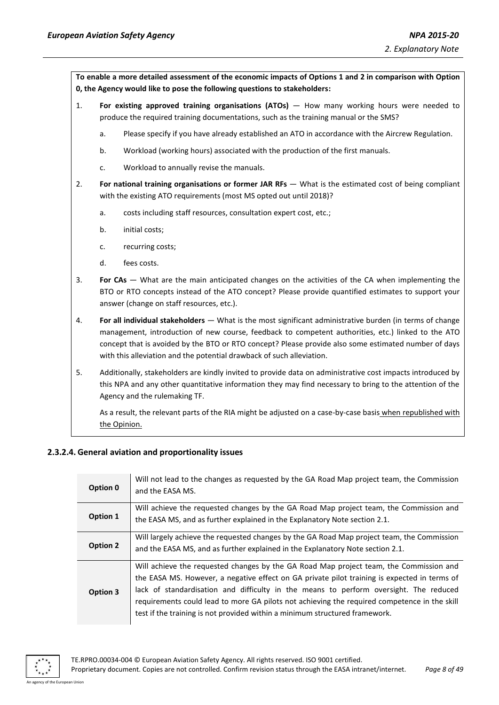**To enable a more detailed assessment of the economic impacts of Options 1 and 2 in comparison with Option 0, the Agency would like to pose the following questions to stakeholders:**

- 1. **For existing approved training organisations (ATOs)**  How many working hours were needed to produce the required training documentations, such as the training manual or the SMS?
	- a. Please specify if you have already established an ATO in accordance with the Aircrew Regulation.
	- b. Workload (working hours) associated with the production of the first manuals.
	- c. Workload to annually revise the manuals.
- 2. **For national training organisations or former JAR RFs** What is the estimated cost of being compliant with the existing ATO requirements (most MS opted out until 2018)?
	- a. costs including staff resources, consultation expert cost, etc.;
	- b. initial costs;
	- c. recurring costs;
	- d. fees costs.
- 3. **For CAs** What are the main anticipated changes on the activities of the CA when implementing the BTO or RTO concepts instead of the ATO concept? Please provide quantified estimates to support your answer (change on staff resources, etc.).
- 4. **For all individual stakeholders** What is the most significant administrative burden (in terms of change management, introduction of new course, feedback to competent authorities, etc.) linked to the ATO concept that is avoided by the BTO or RTO concept? Please provide also some estimated number of days with this alleviation and the potential drawback of such alleviation.
- 5. Additionally, stakeholders are kindly invited to provide data on administrative cost impacts introduced by this NPA and any other quantitative information they may find necessary to bring to the attention of the Agency and the rulemaking TF.

As a result, the relevant parts of the RIA might be adjusted on a case-by-case basis when republished with the Opinion.

#### **2.3.2.4. General aviation and proportionality issues**

| Option 0 | Will not lead to the changes as requested by the GA Road Map project team, the Commission<br>and the EASA MS. |
|----------|---------------------------------------------------------------------------------------------------------------|
| Option 1 | Will achieve the requested changes by the GA Road Map project team, the Commission and                        |
|          | the EASA MS, and as further explained in the Explanatory Note section 2.1.                                    |
| Option 2 | Will largely achieve the requested changes by the GA Road Map project team, the Commission                    |
|          | and the EASA MS, and as further explained in the Explanatory Note section 2.1.                                |
|          | Will achieve the requested changes by the GA Road Map project team, the Commission and                        |
| Option 3 | the EASA MS. However, a negative effect on GA private pilot training is expected in terms of                  |
|          | lack of standardisation and difficulty in the means to perform oversight. The reduced                         |
|          | requirements could lead to more GA pilots not achieving the required competence in the skill                  |
|          | test if the training is not provided within a minimum structured framework.                                   |

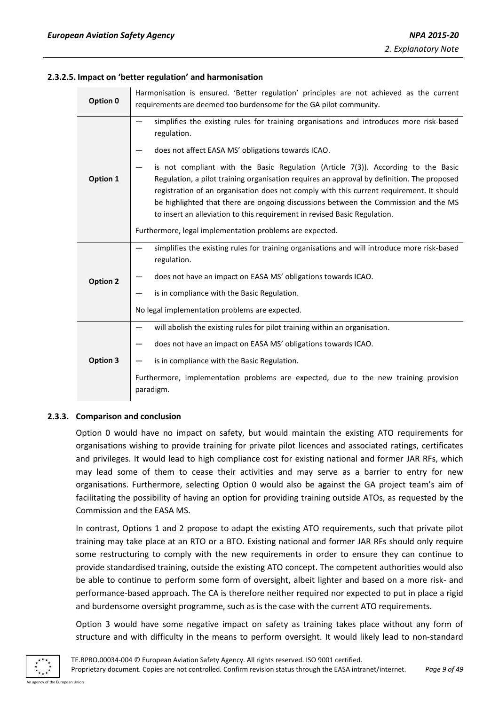#### **2.3.2.5. Impact on 'better regulation' and harmonisation**

| Option 0        | Harmonisation is ensured. 'Better regulation' principles are not achieved as the current<br>requirements are deemed too burdensome for the GA pilot community.                                                                                                                                                                                                                                                                                     |  |  |  |  |
|-----------------|----------------------------------------------------------------------------------------------------------------------------------------------------------------------------------------------------------------------------------------------------------------------------------------------------------------------------------------------------------------------------------------------------------------------------------------------------|--|--|--|--|
|                 | simplifies the existing rules for training organisations and introduces more risk-based<br>regulation.                                                                                                                                                                                                                                                                                                                                             |  |  |  |  |
|                 | does not affect EASA MS' obligations towards ICAO.                                                                                                                                                                                                                                                                                                                                                                                                 |  |  |  |  |
| Option 1        | is not compliant with the Basic Regulation (Article $7(3)$ ). According to the Basic<br>Regulation, a pilot training organisation requires an approval by definition. The proposed<br>registration of an organisation does not comply with this current requirement. It should<br>be highlighted that there are ongoing discussions between the Commission and the MS<br>to insert an alleviation to this requirement in revised Basic Regulation. |  |  |  |  |
|                 | Furthermore, legal implementation problems are expected.                                                                                                                                                                                                                                                                                                                                                                                           |  |  |  |  |
|                 | simplifies the existing rules for training organisations and will introduce more risk-based<br>regulation.                                                                                                                                                                                                                                                                                                                                         |  |  |  |  |
| <b>Option 2</b> | does not have an impact on EASA MS' obligations towards ICAO.                                                                                                                                                                                                                                                                                                                                                                                      |  |  |  |  |
|                 | is in compliance with the Basic Regulation.                                                                                                                                                                                                                                                                                                                                                                                                        |  |  |  |  |
|                 | No legal implementation problems are expected.                                                                                                                                                                                                                                                                                                                                                                                                     |  |  |  |  |
|                 | will abolish the existing rules for pilot training within an organisation.                                                                                                                                                                                                                                                                                                                                                                         |  |  |  |  |
|                 | does not have an impact on EASA MS' obligations towards ICAO.                                                                                                                                                                                                                                                                                                                                                                                      |  |  |  |  |
| Option 3        | is in compliance with the Basic Regulation.                                                                                                                                                                                                                                                                                                                                                                                                        |  |  |  |  |
|                 | Furthermore, implementation problems are expected, due to the new training provision<br>paradigm.                                                                                                                                                                                                                                                                                                                                                  |  |  |  |  |

#### <span id="page-8-0"></span>**2.3.3. Comparison and conclusion**

Option 0 would have no impact on safety, but would maintain the existing ATO requirements for organisations wishing to provide training for private pilot licences and associated ratings, certificates and privileges. It would lead to high compliance cost for existing national and former JAR RFs, which may lead some of them to cease their activities and may serve as a barrier to entry for new organisations. Furthermore, selecting Option 0 would also be against the GA project team's aim of facilitating the possibility of having an option for providing training outside ATOs, as requested by the Commission and the EASA MS.

In contrast, Options 1 and 2 propose to adapt the existing ATO requirements, such that private pilot training may take place at an RTO or a BTO. Existing national and former JAR RFs should only require some restructuring to comply with the new requirements in order to ensure they can continue to provide standardised training, outside the existing ATO concept. The competent authorities would also be able to continue to perform some form of oversight, albeit lighter and based on a more risk- and performance-based approach. The CA is therefore neither required nor expected to put in place a rigid and burdensome oversight programme, such as is the case with the current ATO requirements.

Option 3 would have some negative impact on safety as training takes place without any form of structure and with difficulty in the means to perform oversight. It would likely lead to non-standard

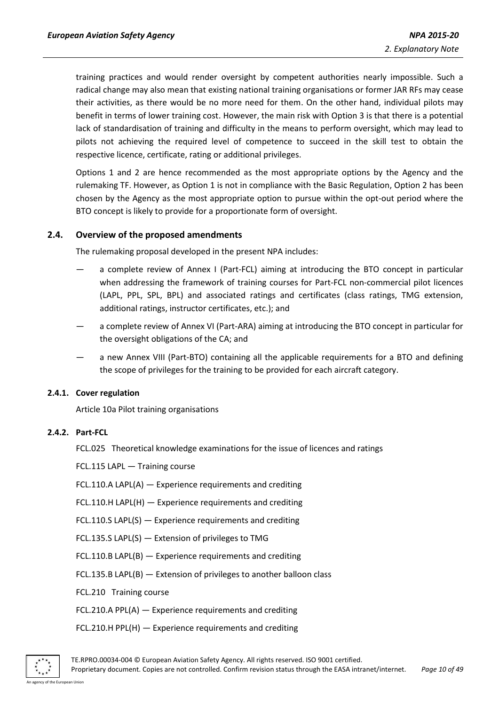training practices and would render oversight by competent authorities nearly impossible. Such a radical change may also mean that existing national training organisations or former JAR RFs may cease their activities, as there would be no more need for them. On the other hand, individual pilots may benefit in terms of lower training cost. However, the main risk with Option 3 is that there is a potential lack of standardisation of training and difficulty in the means to perform oversight, which may lead to pilots not achieving the required level of competence to succeed in the skill test to obtain the respective licence, certificate, rating or additional privileges.

Options 1 and 2 are hence recommended as the most appropriate options by the Agency and the rulemaking TF. However, as Option 1 is not in compliance with the Basic Regulation, Option 2 has been chosen by the Agency as the most appropriate option to pursue within the opt-out period where the BTO concept is likely to provide for a proportionate form of oversight.

#### <span id="page-9-0"></span>**2.4. Overview of the proposed amendments**

The rulemaking proposal developed in the present NPA includes:

- a complete review of Annex I (Part-FCL) aiming at introducing the BTO concept in particular when addressing the framework of training courses for Part-FCL non-commercial pilot licences (LAPL, PPL, SPL, BPL) and associated ratings and certificates (class ratings, TMG extension, additional ratings, instructor certificates, etc.); and
- a complete review of Annex VI (Part-ARA) aiming at introducing the BTO concept in particular for the oversight obligations of the CA; and
- a new Annex VIII (Part-BTO) containing all the applicable requirements for a BTO and defining the scope of privileges for the training to be provided for each aircraft category.

#### <span id="page-9-1"></span>**2.4.1. Cover regulation**

Article 10a Pilot training organisations

#### <span id="page-9-2"></span>**2.4.2. Part-FCL**

FCL.025 Theoretical knowledge examinations for the issue of licences and ratings

FCL.115 LAPL — Training course

- FCL.110.A LAPL(A) Experience requirements and crediting
- FCL.110.H LAPL(H) Experience requirements and crediting
- FCL.110.S LAPL(S) Experience requirements and crediting
- FCL.135.S LAPL(S) Extension of privileges to TMG
- FCL.110.B LAPL(B) Experience requirements and crediting
- FCL.135.B LAPL(B) Extension of privileges to another balloon class
- FCL.210 Training course
- FCL.210.A PPL(A) Experience requirements and crediting
- FCL.210.H PPL(H) Experience requirements and crediting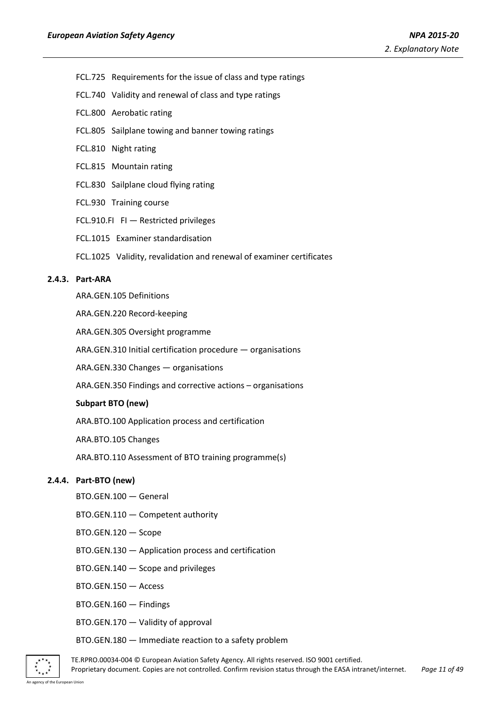- FCL.725 Requirements for the issue of class and type ratings
- FCL.740 Validity and renewal of class and type ratings
- FCL.800 Aerobatic rating
- FCL.805 Sailplane towing and banner towing ratings
- FCL.810 Night rating
- FCL.815 Mountain rating
- FCL.830 Sailplane cloud flying rating
- FCL.930 Training course
- FCL.910.FI FI Restricted privileges
- FCL.1015 Examiner standardisation
- FCL.1025 Validity, revalidation and renewal of examiner certificates

## <span id="page-10-0"></span>**2.4.3. Part-ARA**

ARA.GEN.105 Definitions

ARA.GEN.220 Record-keeping

ARA.GEN.305 Oversight programme

ARA.GEN.310 Initial certification procedure — organisations

ARA.GEN.330 Changes — organisations

ARA.GEN.350 Findings and corrective actions – organisations

#### **Subpart BTO (new)**

ARA.BTO.100 Application process and certification

ARA.BTO.105 Changes

ARA.BTO.110 Assessment of BTO training programme(s)

#### <span id="page-10-1"></span>**2.4.4. Part-BTO (new)**

- BTO.GEN.100 General
- BTO.GEN.110 Competent authority
- BTO.GEN.120 Scope
- BTO.GEN.130 Application process and certification
- BTO.GEN.140 Scope and privileges
- BTO.GEN.150 Access
- BTO.GEN.160 Findings
- BTO.GEN.170 Validity of approval

#### BTO.GEN.180 — Immediate reaction to a safety problem



TE.RPRO.00034-004 © European Aviation Safety Agency. All rights reserved. ISO 9001 certified. Proprietary document. Copies are not controlled. Confirm revision status through the EASA intranet/internet. *Page 11 of 49*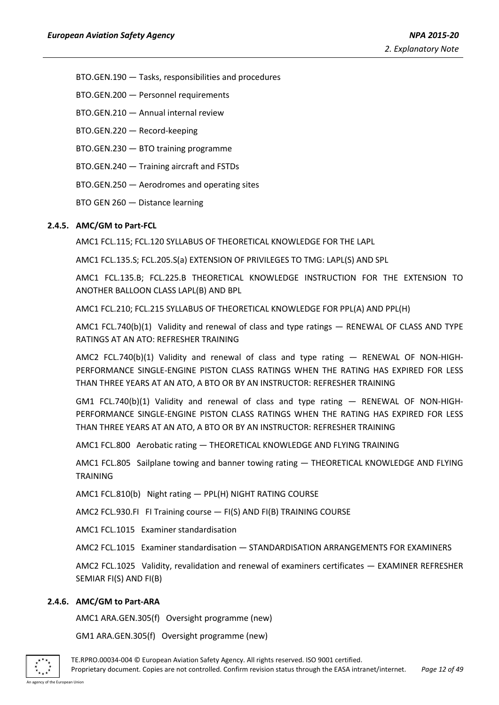BTO.GEN.190 — Tasks, responsibilities and procedures

- BTO.GEN.200 Personnel requirements
- BTO.GEN.210 Annual internal review
- BTO.GEN.220 Record-keeping
- BTO.GEN.230 BTO training programme
- BTO.GEN.240 Training aircraft and FSTDs
- BTO.GEN.250 Aerodromes and operating sites
- BTO GEN 260 Distance learning

#### <span id="page-11-0"></span>**2.4.5. AMC/GM to Part-FCL**

AMC1 FCL.115; FCL.120 SYLLABUS OF THEORETICAL KNOWLEDGE FOR THE LAPL

AMC1 FCL.135.S; FCL.205.S(a) EXTENSION OF PRIVILEGES TO TMG: LAPL(S) AND SPL

AMC1 FCL.135.B; FCL.225.B THEORETICAL KNOWLEDGE INSTRUCTION FOR THE EXTENSION TO ANOTHER BALLOON CLASS LAPL(B) AND BPL

AMC1 FCL.210; FCL.215 SYLLABUS OF THEORETICAL KNOWLEDGE FOR PPL(A) AND PPL(H)

AMC1 FCL.740(b)(1) Validity and renewal of class and type ratings - RENEWAL OF CLASS AND TYPE RATINGS AT AN ATO: REFRESHER TRAINING

AMC2 FCL.740(b)(1) Validity and renewal of class and type rating — RENEWAL OF NON-HIGH-PERFORMANCE SINGLE-ENGINE PISTON CLASS RATINGS WHEN THE RATING HAS EXPIRED FOR LESS THAN THREE YEARS AT AN ATO, A BTO OR BY AN INSTRUCTOR: REFRESHER TRAINING

GM1 FCL.740(b)(1) Validity and renewal of class and type rating  $-$  RENEWAL OF NON-HIGH-PERFORMANCE SINGLE-ENGINE PISTON CLASS RATINGS WHEN THE RATING HAS EXPIRED FOR LESS THAN THREE YEARS AT AN ATO, A BTO OR BY AN INSTRUCTOR: REFRESHER TRAINING

AMC1 FCL.800 Aerobatic rating — THEORETICAL KNOWLEDGE AND FLYING TRAINING

AMC1 FCL.805 Sailplane towing and banner towing rating — THEORETICAL KNOWLEDGE AND FLYING TRAINING

AMC1 FCL.810(b) Night rating — PPL(H) NIGHT RATING COURSE

AMC2 FCL.930.FI FI Training course — FI(S) AND FI(B) TRAINING COURSE

AMC1 FCL.1015 Examiner standardisation

AMC2 FCL.1015 Examiner standardisation — STANDARDISATION ARRANGEMENTS FOR EXAMINERS

AMC2 FCL.1025 Validity, revalidation and renewal of examiners certificates — EXAMINER REFRESHER SEMIAR FI(S) AND FI(B)

#### <span id="page-11-1"></span>**2.4.6. AMC/GM to Part-ARA**

AMC1 ARA.GEN.305(f) Oversight programme (new)

GM1 ARA.GEN.305(f) Oversight programme (new)



TE.RPRO.00034-004 © European Aviation Safety Agency. All rights reserved. ISO 9001 certified. Proprietary document. Copies are not controlled. Confirm revision status through the EASA intranet/internet. *Page 12 of 49*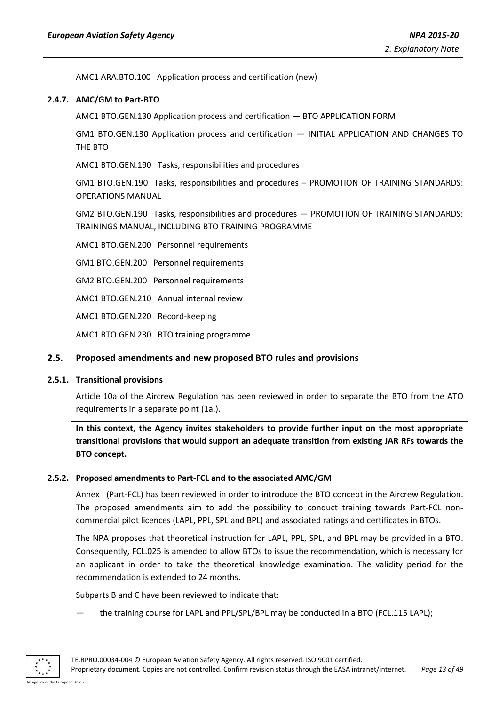AMC1 ARA.BTO.100 Application process and certification (new)

#### <span id="page-12-0"></span>**2.4.7. AMC/GM to Part-BTO**

AMC1 BTO.GEN.130 Application process and certification — BTO APPLICATION FORM

GM1 BTO.GEN.130 Application process and certification — INITIAL APPLICATION AND CHANGES TO THE BTO

AMC1 BTO.GEN.190 Tasks, responsibilities and procedures

GM1 BTO.GEN.190 Tasks, responsibilities and procedures – PROMOTION OF TRAINING STANDARDS: OPERATIONS MANUAL

GM2 BTO.GEN.190 Tasks, responsibilities and procedures — PROMOTION OF TRAINING STANDARDS: TRAININGS MANUAL, INCLUDING BTO TRAINING PROGRAMME

AMC1 BTO.GEN.200 Personnel requirements

GM1 BTO.GEN.200 Personnel requirements

GM2 BTO.GEN.200 Personnel requirements

AMC1 BTO.GEN.210 Annual internal review

AMC1 BTO.GEN.220 Record-keeping

AMC1 BTO.GEN.230 BTO training programme

#### <span id="page-12-1"></span>**2.5. Proposed amendments and new proposed BTO rules and provisions**

#### <span id="page-12-2"></span>**2.5.1. Transitional provisions**

Article 10a of the Aircrew Regulation has been reviewed in order to separate the BTO from the ATO requirements in a separate point (1a.).

**In this context, the Agency invites stakeholders to provide further input on the most appropriate transitional provisions that would support an adequate transition from existing JAR RFs towards the BTO concept.** 

#### <span id="page-12-3"></span>**2.5.2. Proposed amendments to Part-FCL and to the associated AMC/GM**

Annex I (Part-FCL) has been reviewed in order to introduce the BTO concept in the Aircrew Regulation. The proposed amendments aim to add the possibility to conduct training towards Part-FCL noncommercial pilot licences (LAPL, PPL, SPL and BPL) and associated ratings and certificates in BTOs.

The NPA proposes that theoretical instruction for LAPL, PPL, SPL, and BPL may be provided in a BTO. Consequently, FCL.025 is amended to allow BTOs to issue the recommendation, which is necessary for an applicant in order to take the theoretical knowledge examination. The validity period for the recommendation is extended to 24 months.

Subparts B and C have been reviewed to indicate that:

the training course for LAPL and PPL/SPL/BPL may be conducted in a BTO (FCL.115 LAPL);

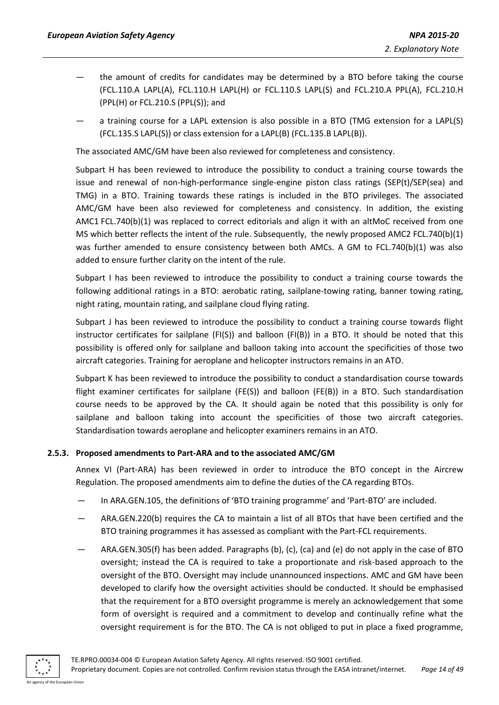- the amount of credits for candidates may be determined by a BTO before taking the course (FCL.110.A LAPL(A), FCL.110.H LAPL(H) or FCL.110.S LAPL(S) and FCL.210.A PPL(A), FCL.210.H (PPL(H) or FCL.210.S (PPL(S)); and
- a training course for a LAPL extension is also possible in a BTO (TMG extension for a LAPL(S) (FCL.135.S LAPL(S)) or class extension for a LAPL(B) (FCL.135.B LAPL(B)).

The associated AMC/GM have been also reviewed for completeness and consistency.

Subpart H has been reviewed to introduce the possibility to conduct a training course towards the issue and renewal of non-high-performance single-engine piston class ratings (SEP(t)/SEP(sea) and TMG) in a BTO. Training towards these ratings is included in the BTO privileges. The associated AMC/GM have been also reviewed for completeness and consistency. In addition, the existing AMC1 FCL.740(b)(1) was replaced to correct editorials and align it with an altMoC received from one MS which better reflects the intent of the rule. Subsequently, the newly proposed AMC2 FCL.740(b)(1) was further amended to ensure consistency between both AMCs. A GM to FCL.740(b)(1) was also added to ensure further clarity on the intent of the rule.

Subpart I has been reviewed to introduce the possibility to conduct a training course towards the following additional ratings in a BTO: aerobatic rating, sailplane-towing rating, banner towing rating, night rating, mountain rating, and sailplane cloud flying rating.

Subpart J has been reviewed to introduce the possibility to conduct a training course towards flight instructor certificates for sailplane (FI(S)) and balloon (FI(B)) in a BTO. It should be noted that this possibility is offered only for sailplane and balloon taking into account the specificities of those two aircraft categories. Training for aeroplane and helicopter instructors remains in an ATO.

Subpart K has been reviewed to introduce the possibility to conduct a standardisation course towards flight examiner certificates for sailplane (FE(S)) and balloon (FE(B)) in a BTO. Such standardisation course needs to be approved by the CA. It should again be noted that this possibility is only for sailplane and balloon taking into account the specificities of those two aircraft categories. Standardisation towards aeroplane and helicopter examiners remains in an ATO.

#### <span id="page-13-0"></span>**2.5.3. Proposed amendments to Part-ARA and to the associated AMC/GM**

Annex VI (Part-ARA) has been reviewed in order to introduce the BTO concept in the Aircrew Regulation. The proposed amendments aim to define the duties of the CA regarding BTOs.

- In ARA.GEN.105, the definitions of 'BTO training programme' and 'Part-BTO' are included.
- ARA.GEN.220(b) requires the CA to maintain a list of all BTOs that have been certified and the BTO training programmes it has assessed as compliant with the Part-FCL requirements.
- ARA.GEN.305(f) has been added. Paragraphs (b), (c), (ca) and (e) do not apply in the case of BTO oversight; instead the CA is required to take a proportionate and risk-based approach to the oversight of the BTO. Oversight may include unannounced inspections. AMC and GM have been developed to clarify how the oversight activities should be conducted. It should be emphasised that the requirement for a BTO oversight programme is merely an acknowledgement that some form of oversight is required and a commitment to develop and continually refine what the oversight requirement is for the BTO. The CA is not obliged to put in place a fixed programme,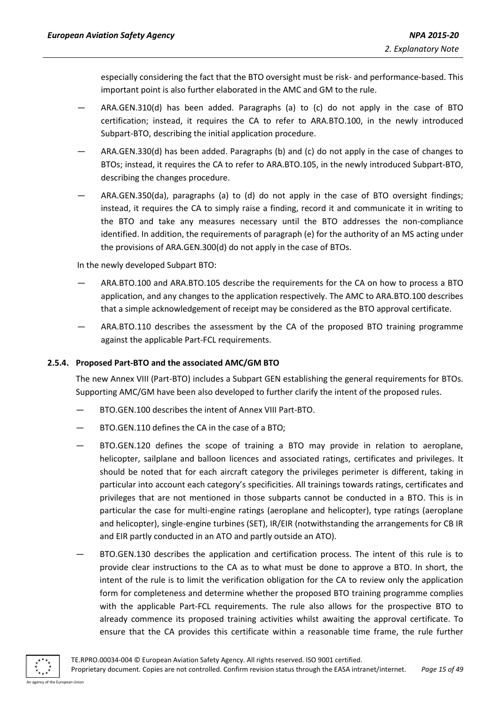especially considering the fact that the BTO oversight must be risk- and performance-based. This important point is also further elaborated in the AMC and GM to the rule.

- ARA.GEN.310(d) has been added. Paragraphs (a) to (c) do not apply in the case of BTO certification; instead, it requires the CA to refer to ARA.BTO.100, in the newly introduced Subpart-BTO, describing the initial application procedure.
- ARA.GEN.330(d) has been added. Paragraphs (b) and (c) do not apply in the case of changes to BTOs; instead, it requires the CA to refer to ARA.BTO.105, in the newly introduced Subpart-BTO, describing the changes procedure.
- ARA.GEN.350(da), paragraphs (a) to (d) do not apply in the case of BTO oversight findings; instead, it requires the CA to simply raise a finding, record it and communicate it in writing to the BTO and take any measures necessary until the BTO addresses the non-compliance identified. In addition, the requirements of paragraph (e) for the authority of an MS acting under the provisions of ARA.GEN.300(d) do not apply in the case of BTOs.

In the newly developed Subpart BTO:

- ARA.BTO.100 and ARA.BTO.105 describe the requirements for the CA on how to process a BTO application, and any changes to the application respectively. The AMC to ARA.BTO.100 describes that a simple acknowledgement of receipt may be considered as the BTO approval certificate.
- ARA.BTO.110 describes the assessment by the CA of the proposed BTO training programme against the applicable Part-FCL requirements.

## <span id="page-14-0"></span>**2.5.4. Proposed Part-BTO and the associated AMC/GM BTO**

The new Annex VIII (Part-BTO) includes a Subpart GEN establishing the general requirements for BTOs. Supporting AMC/GM have been also developed to further clarify the intent of the proposed rules.

- BTO.GEN.100 describes the intent of Annex VIII Part-BTO.
- BTO.GEN.110 defines the CA in the case of a BTO;
- BTO.GEN.120 defines the scope of training a BTO may provide in relation to aeroplane, helicopter, sailplane and balloon licences and associated ratings, certificates and privileges. It should be noted that for each aircraft category the privileges perimeter is different, taking in particular into account each category's specificities. All trainings towards ratings, certificates and privileges that are not mentioned in those subparts cannot be conducted in a BTO. This is in particular the case for multi-engine ratings (aeroplane and helicopter), type ratings (aeroplane and helicopter), single-engine turbines (SET), IR/EIR (notwithstanding the arrangements for CB IR and EIR partly conducted in an ATO and partly outside an ATO).
- BTO.GEN.130 describes the application and certification process. The intent of this rule is to provide clear instructions to the CA as to what must be done to approve a BTO. In short, the intent of the rule is to limit the verification obligation for the CA to review only the application form for completeness and determine whether the proposed BTO training programme complies with the applicable Part-FCL requirements. The rule also allows for the prospective BTO to already commence its proposed training activities whilst awaiting the approval certificate. To ensure that the CA provides this certificate within a reasonable time frame, the rule further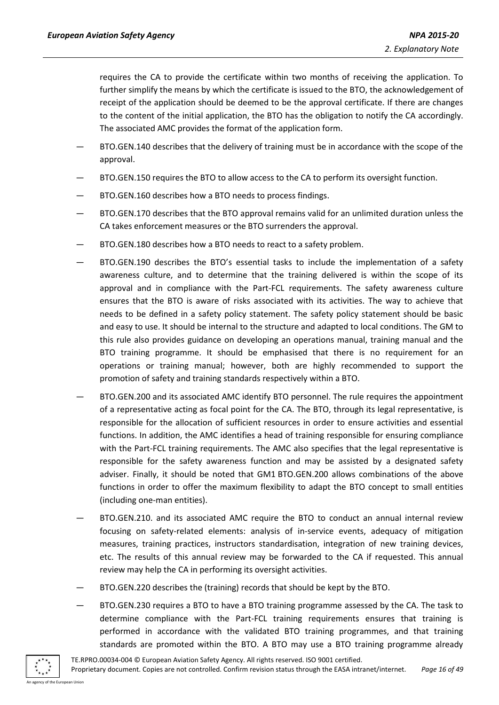requires the CA to provide the certificate within two months of receiving the application. To further simplify the means by which the certificate is issued to the BTO, the acknowledgement of receipt of the application should be deemed to be the approval certificate. If there are changes to the content of the initial application, the BTO has the obligation to notify the CA accordingly. The associated AMC provides the format of the application form.

- BTO.GEN.140 describes that the delivery of training must be in accordance with the scope of the approval.
- BTO.GEN.150 requires the BTO to allow access to the CA to perform its oversight function.
- BTO.GEN.160 describes how a BTO needs to process findings.
- BTO.GEN.170 describes that the BTO approval remains valid for an unlimited duration unless the CA takes enforcement measures or the BTO surrenders the approval.
- BTO.GEN.180 describes how a BTO needs to react to a safety problem.
- BTO.GEN.190 describes the BTO's essential tasks to include the implementation of a safety awareness culture, and to determine that the training delivered is within the scope of its approval and in compliance with the Part-FCL requirements. The safety awareness culture ensures that the BTO is aware of risks associated with its activities. The way to achieve that needs to be defined in a safety policy statement. The safety policy statement should be basic and easy to use. It should be internal to the structure and adapted to local conditions. The GM to this rule also provides guidance on developing an operations manual, training manual and the BTO training programme. It should be emphasised that there is no requirement for an operations or training manual; however, both are highly recommended to support the promotion of safety and training standards respectively within a BTO.
- BTO.GEN.200 and its associated AMC identify BTO personnel. The rule requires the appointment of a representative acting as focal point for the CA. The BTO, through its legal representative, is responsible for the allocation of sufficient resources in order to ensure activities and essential functions. In addition, the AMC identifies a head of training responsible for ensuring compliance with the Part-FCL training requirements. The AMC also specifies that the legal representative is responsible for the safety awareness function and may be assisted by a designated safety adviser. Finally, it should be noted that GM1 BTO.GEN.200 allows combinations of the above functions in order to offer the maximum flexibility to adapt the BTO concept to small entities (including one-man entities).
- BTO.GEN.210. and its associated AMC require the BTO to conduct an annual internal review focusing on safety-related elements: analysis of in-service events, adequacy of mitigation measures, training practices, instructors standardisation, integration of new training devices, etc. The results of this annual review may be forwarded to the CA if requested. This annual review may help the CA in performing its oversight activities.
- BTO.GEN.220 describes the (training) records that should be kept by the BTO.
- BTO.GEN.230 requires a BTO to have a BTO training programme assessed by the CA. The task to determine compliance with the Part-FCL training requirements ensures that training is performed in accordance with the validated BTO training programmes, and that training standards are promoted within the BTO. A BTO may use a BTO training programme already

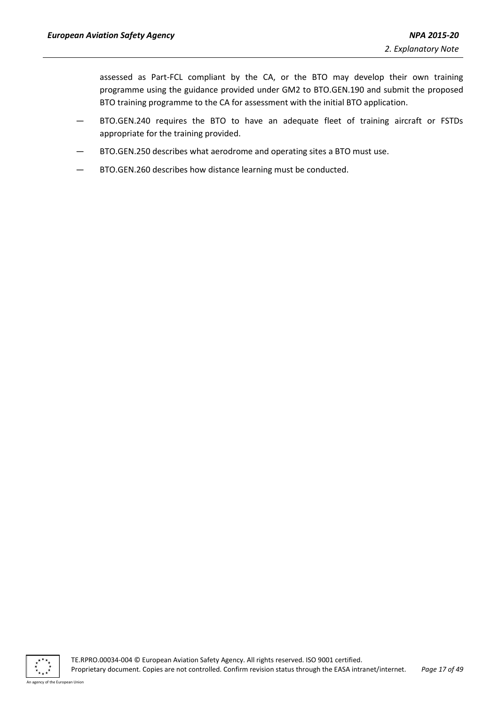assessed as Part-FCL compliant by the CA, or the BTO may develop their own training programme using the guidance provided under GM2 to BTO.GEN.190 and submit the proposed BTO training programme to the CA for assessment with the initial BTO application.

- BTO.GEN.240 requires the BTO to have an adequate fleet of training aircraft or FSTDs appropriate for the training provided.
- BTO.GEN.250 describes what aerodrome and operating sites a BTO must use.
- BTO.GEN.260 describes how distance learning must be conducted.

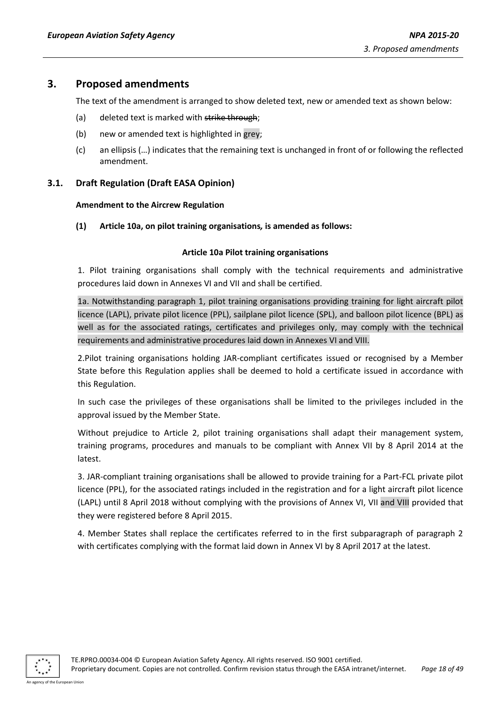## <span id="page-17-0"></span>**3. Proposed amendments**

The text of the amendment is arranged to show deleted text, new or amended text as shown below:

- (a) deleted text is marked with strike through;
- (b) new or amended text is highlighted in grey;
- (c) an ellipsis (…) indicates that the remaining text is unchanged in front of or following the reflected amendment.

## <span id="page-17-2"></span><span id="page-17-1"></span>**3.1. Draft Regulation (Draft EASA Opinion)**

#### **Amendment to the Aircrew Regulation**

**(1) Article 10a, on pilot training organisations***,* **is amended as follows:**

#### **Article 10a Pilot training organisations**

1. Pilot training organisations shall comply with the technical requirements and administrative procedures laid down in Annexes VI and VII and shall be certified.

1a. Notwithstanding paragraph 1, pilot training organisations providing training for light aircraft pilot licence (LAPL), private pilot licence (PPL), sailplane pilot licence (SPL), and balloon pilot licence (BPL) as well as for the associated ratings, certificates and privileges only, may comply with the technical requirements and administrative procedures laid down in Annexes VI and VIII.

2.Pilot training organisations holding JAR-compliant certificates issued or recognised by a Member State before this Regulation applies shall be deemed to hold a certificate issued in accordance with this Regulation.

In such case the privileges of these organisations shall be limited to the privileges included in the approval issued by the Member State.

Without prejudice to Article 2, pilot training organisations shall adapt their management system, training programs, procedures and manuals to be compliant with Annex VII by 8 April 2014 at the latest.

3. JAR-compliant training organisations shall be allowed to provide training for a Part-FCL private pilot licence (PPL), for the associated ratings included in the registration and for a light aircraft pilot licence (LAPL) until 8 April 2018 without complying with the provisions of Annex VI, VII and VIII provided that they were registered before 8 April 2015.

4. Member States shall replace the certificates referred to in the first subparagraph of paragraph 2 with certificates complying with the format laid down in Annex VI by 8 April 2017 at the latest.

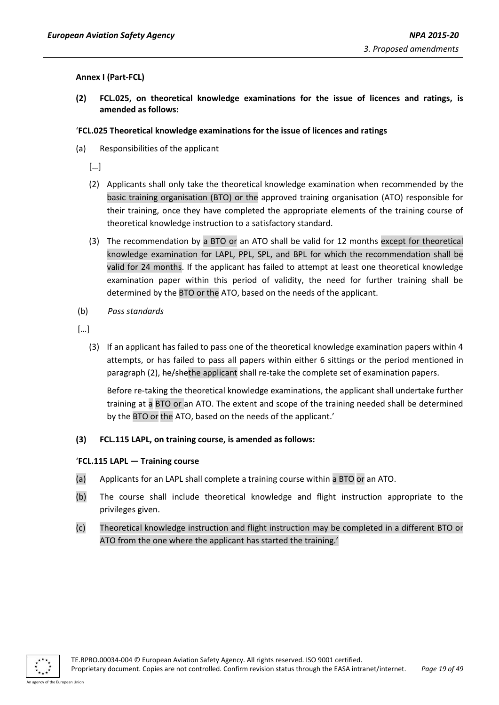#### <span id="page-18-0"></span>**Annex I (Part-FCL)**

**(2) FCL.025, on theoretical knowledge examinations for the issue of licences and ratings, is amended as follows:**

## '**FCL.025 Theoretical knowledge examinations for the issue of licences and ratings**

(a) Responsibilities of the applicant

[…]

- (2) Applicants shall only take the theoretical knowledge examination when recommended by the basic training organisation (BTO) or the approved training organisation (ATO) responsible for their training, once they have completed the appropriate elements of the training course of theoretical knowledge instruction to a satisfactory standard.
- (3) The recommendation by a BTO or an ATO shall be valid for 12 months except for theoretical knowledge examination for LAPL, PPL, SPL, and BPL for which the recommendation shall be valid for 24 months. If the applicant has failed to attempt at least one theoretical knowledge examination paper within this period of validity, the need for further training shall be determined by the BTO or the ATO, based on the needs of the applicant.
- (b) *Pass standards*

[…]

(3) If an applicant has failed to pass one of the theoretical knowledge examination papers within 4 attempts, or has failed to pass all papers within either 6 sittings or the period mentioned in paragraph (2), he/shethe applicant shall re-take the complete set of examination papers.

Before re-taking the theoretical knowledge examinations, the applicant shall undertake further training at a BTO or an ATO. The extent and scope of the training needed shall be determined by the BTO or the ATO, based on the needs of the applicant.'

## **(3) FCL.115 LAPL, on training course, is amended as follows:**

## '**FCL.115 LAPL — Training course**

- (a) Applicants for an LAPL shall complete a training course within a BTO or an ATO.
- (b) The course shall include theoretical knowledge and flight instruction appropriate to the privileges given.
- (c) Theoretical knowledge instruction and flight instruction may be completed in a different BTO or ATO from the one where the applicant has started the training.'

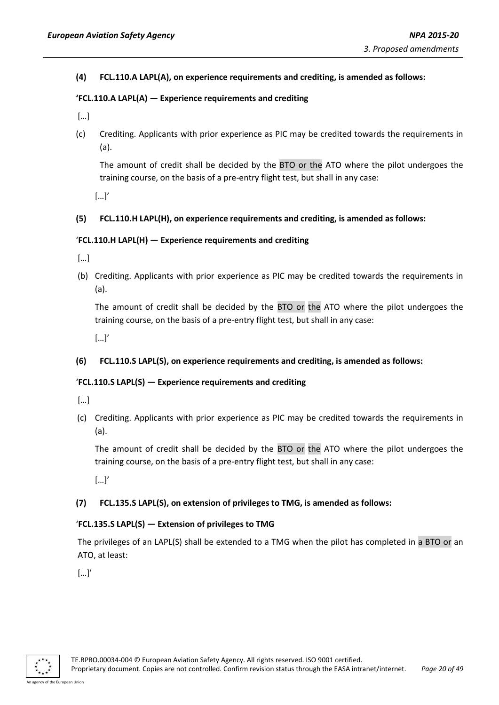**(4) FCL.110.A LAPL(A), on experience requirements and crediting, is amended as follows:**

#### **'FCL.110.A LAPL(A) — Experience requirements and crediting**

- […]
- (c) Crediting. Applicants with prior experience as PIC may be credited towards the requirements in (a).

The amount of credit shall be decided by the BTO or the ATO where the pilot undergoes the training course, on the basis of a pre-entry flight test, but shall in any case:

[…]'

#### **(5) FCL.110.H LAPL(H), on experience requirements and crediting, is amended as follows:**

#### '**FCL.110.H LAPL(H) — Experience requirements and crediting**

[…]

(b) Crediting. Applicants with prior experience as PIC may be credited towards the requirements in (a).

The amount of credit shall be decided by the BTO or the ATO where the pilot undergoes the training course, on the basis of a pre-entry flight test, but shall in any case:

[…]'

#### **(6) FCL.110.S LAPL(S), on experience requirements and crediting, is amended as follows:**

#### '**FCL.110.S LAPL(S) — Experience requirements and crediting**

[…]

(c) Crediting. Applicants with prior experience as PIC may be credited towards the requirements in (a).

The amount of credit shall be decided by the BTO or the ATO where the pilot undergoes the training course, on the basis of a pre-entry flight test, but shall in any case:

[…]'

#### **(7) FCL.135.S LAPL(S), on extension of privileges to TMG, is amended as follows:**

#### '**FCL.135.S LAPL(S) — Extension of privileges to TMG**

The privileges of an LAPL(S) shall be extended to a TMG when the pilot has completed in a BTO or an ATO, at least:

 $[...]'$ 

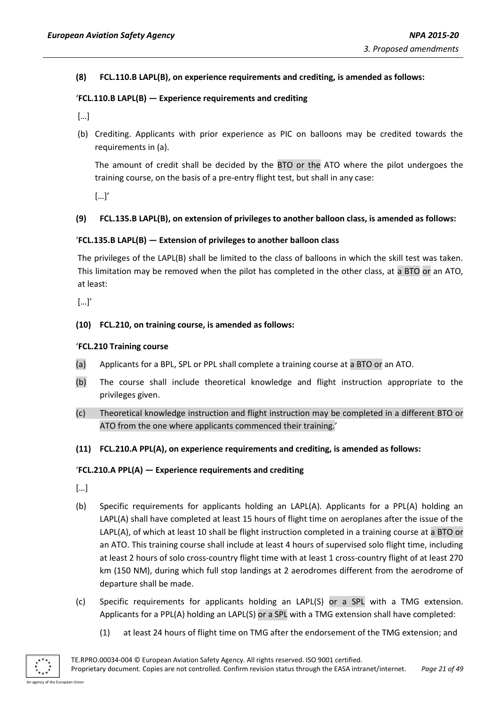**(8) FCL.110.B LAPL(B), on experience requirements and crediting, is amended as follows:**

#### '**FCL.110.B LAPL(B) — Experience requirements and crediting**

[…]

(b) Crediting. Applicants with prior experience as PIC on balloons may be credited towards the requirements in (a).

The amount of credit shall be decided by the BTO or the ATO where the pilot undergoes the training course, on the basis of a pre-entry flight test, but shall in any case:

[…]'

#### **(9) FCL.135.B LAPL(B), on extension of privileges to another balloon class, is amended as follows:**

#### '**FCL.135.B LAPL(B) — Extension of privileges to another balloon class**

The privileges of the LAPL(B) shall be limited to the class of balloons in which the skill test was taken. This limitation may be removed when the pilot has completed in the other class, at a BTO or an ATO, at least:

[…]'

#### **(10) FCL.210, on training course, is amended as follows:**

#### '**FCL.210 Training course**

- (a) Applicants for a BPL, SPL or PPL shall complete a training course at a BTO or an ATO.
- (b) The course shall include theoretical knowledge and flight instruction appropriate to the privileges given.
- (c) Theoretical knowledge instruction and flight instruction may be completed in a different BTO or ATO from the one where applicants commenced their training.'
- **(11) FCL.210.A PPL(A), on experience requirements and crediting, is amended as follows:**

#### '**FCL.210.A PPL(A) — Experience requirements and crediting**

[…]

- (b) Specific requirements for applicants holding an LAPL(A). Applicants for a PPL(A) holding an LAPL(A) shall have completed at least 15 hours of flight time on aeroplanes after the issue of the LAPL(A), of which at least 10 shall be flight instruction completed in a training course at a BTO or an ATO. This training course shall include at least 4 hours of supervised solo flight time, including at least 2 hours of solo cross-country flight time with at least 1 cross-country flight of at least 270 km (150 NM), during which full stop landings at 2 aerodromes different from the aerodrome of departure shall be made.
- (c) Specific requirements for applicants holding an LAPL(S) or a SPL with a TMG extension. Applicants for a PPL(A) holding an LAPL(S) or a SPL with a TMG extension shall have completed:
	- (1) at least 24 hours of flight time on TMG after the endorsement of the TMG extension; and

An agency of the European Union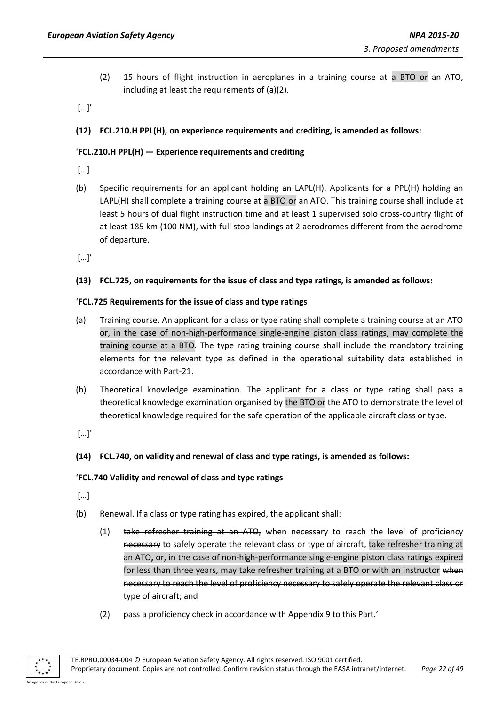(2) 15 hours of flight instruction in aeroplanes in a training course at a BTO or an ATO, including at least the requirements of (a)(2).

[…]'

## **(12) FCL.210.H PPL(H), on experience requirements and crediting, is amended as follows:**

## '**FCL.210.H PPL(H) — Experience requirements and crediting**

[…]

(b) Specific requirements for an applicant holding an LAPL(H). Applicants for a PPL(H) holding an LAPL(H) shall complete a training course at a BTO or an ATO. This training course shall include at least 5 hours of dual flight instruction time and at least 1 supervised solo cross-country flight of at least 185 km (100 NM), with full stop landings at 2 aerodromes different from the aerodrome of departure.

[…]'

## **(13) FCL.725, on requirements for the issue of class and type ratings, is amended as follows:**

## '**FCL.725 Requirements for the issue of class and type ratings**

- (a) Training course. An applicant for a class or type rating shall complete a training course at an ATO or, in the case of non-high-performance single-engine piston class ratings, may complete the training course at a BTO. The type rating training course shall include the mandatory training elements for the relevant type as defined in the operational suitability data established in accordance with Part-21.
- (b) Theoretical knowledge examination. The applicant for a class or type rating shall pass a theoretical knowledge examination organised by the BTO or the ATO to demonstrate the level of theoretical knowledge required for the safe operation of the applicable aircraft class or type.

[…]'

## **(14) FCL.740, on validity and renewal of class and type ratings, is amended as follows:**

## '**FCL.740 Validity and renewal of class and type ratings**

- […]
- (b) Renewal. If a class or type rating has expired, the applicant shall:
	- (1) take refresher training at an ATO, when necessary to reach the level of proficiency necessary to safely operate the relevant class or type of aircraft, take refresher training at an ATO**,** or, in the case of non-high-performance single-engine piston class ratings expired for less than three years, may take refresher training at a BTO or with an instructor when necessary to reach the level of proficiency necessary to safely operate the relevant class or type of aircraft; and
	- (2) pass a proficiency check in accordance with Appendix 9 to this Part.'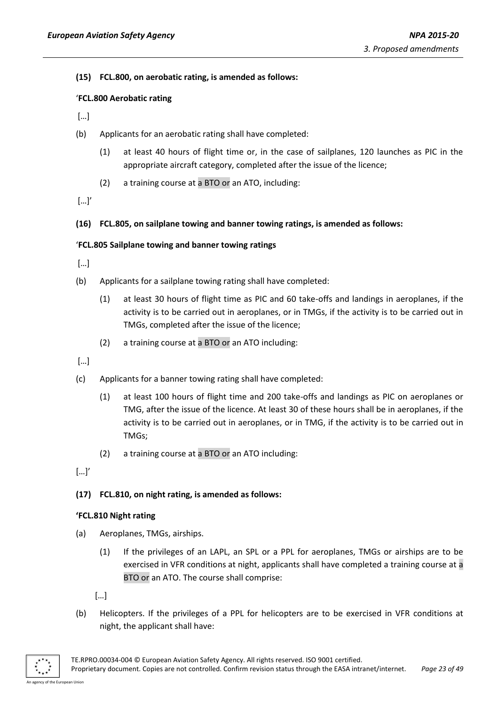**(15) FCL.800, on aerobatic rating, is amended as follows:**

#### '**FCL.800 Aerobatic rating**

[…]

- (b) Applicants for an aerobatic rating shall have completed:
	- (1) at least 40 hours of flight time or, in the case of sailplanes, 120 launches as PIC in the appropriate aircraft category, completed after the issue of the licence;
	- (2) a training course at a BTO or an ATO, including:

[…]'

**(16) FCL.805, on sailplane towing and banner towing ratings, is amended as follows:**

#### '**FCL.805 Sailplane towing and banner towing ratings**

[…]

- (b) Applicants for a sailplane towing rating shall have completed:
	- (1) at least 30 hours of flight time as PIC and 60 take-offs and landings in aeroplanes, if the activity is to be carried out in aeroplanes, or in TMGs, if the activity is to be carried out in TMGs, completed after the issue of the licence;
	- (2) a training course at a BTO or an ATO including:

[…]

- (c) Applicants for a banner towing rating shall have completed:
	- (1) at least 100 hours of flight time and 200 take-offs and landings as PIC on aeroplanes or TMG, after the issue of the licence. At least 30 of these hours shall be in aeroplanes, if the activity is to be carried out in aeroplanes, or in TMG, if the activity is to be carried out in TMGs;
	- (2) a training course at a BTO or an ATO including:

[…]'

#### **(17) FCL.810, on night rating, is amended as follows:**

#### **'FCL.810 Night rating**

- (a) Aeroplanes, TMGs, airships.
	- (1) If the privileges of an LAPL, an SPL or a PPL for aeroplanes, TMGs or airships are to be exercised in VFR conditions at night, applicants shall have completed a training course at a BTO or an ATO. The course shall comprise:

[…]

(b) Helicopters. If the privileges of a PPL for helicopters are to be exercised in VFR conditions at night, the applicant shall have: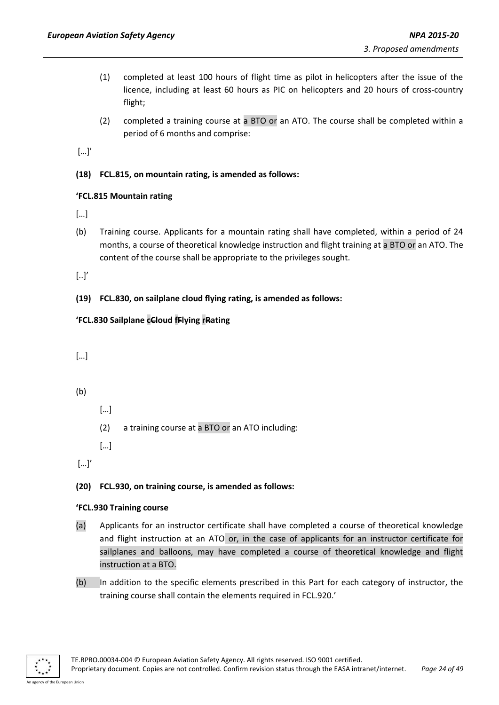- (1) completed at least 100 hours of flight time as pilot in helicopters after the issue of the licence, including at least 60 hours as PIC on helicopters and 20 hours of cross-country flight;
- (2) completed a training course at a BTO or an ATO. The course shall be completed within a period of 6 months and comprise:

[…]'

**(18) FCL.815, on mountain rating, is amended as follows:**

## **'FCL.815 Mountain rating**

- […]
- (b) Training course. Applicants for a mountain rating shall have completed, within a period of 24 months, a course of theoretical knowledge instruction and flight training at a BTO or an ATO. The content of the course shall be appropriate to the privileges sought.

[..]'

**(19) FCL.830, on sailplane cloud flying rating, is amended as follows:**

## **'FCL.830 Sailplane cCloud fFlying rRating**

[…]

- (b)
- […]
- (2) a training course at a BTO or an ATO including:

[…]

[…]'

**(20) FCL.930, on training course, is amended as follows:**

## **'FCL.930 Training course**

- (a) Applicants for an instructor certificate shall have completed a course of theoretical knowledge and flight instruction at an ATO or, in the case of applicants for an instructor certificate for sailplanes and balloons, may have completed a course of theoretical knowledge and flight instruction at a BTO.
- (b) In addition to the specific elements prescribed in this Part for each category of instructor, the training course shall contain the elements required in FCL.920.'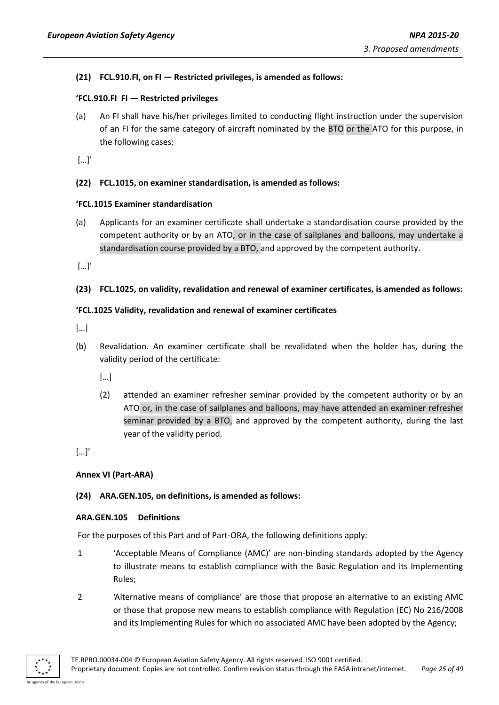## **(21) FCL.910.FI, on FI — Restricted privileges, is amended as follows:**

## **'FCL.910.FI FI — Restricted privileges**

(a) An FI shall have his/her privileges limited to conducting flight instruction under the supervision of an FI for the same category of aircraft nominated by the BTO or the ATO for this purpose, in the following cases:

[…]'

## **(22) FCL.1015, on examiner standardisation, is amended as follows:**

## **'FCL.1015 Examiner standardisation**

(a) Applicants for an examiner certificate shall undertake a standardisation course provided by the competent authority or by an ATO, or in the case of sailplanes and balloons, may undertake a standardisation course provided by a BTO, and approved by the competent authority.

[…]'

## **(23) FCL.1025, on validity, revalidation and renewal of examiner certificates, is amended as follows:**

## **'FCL.1025 Validity, revalidation and renewal of examiner certificates**

- […]
- (b) Revalidation. An examiner certificate shall be revalidated when the holder has, during the validity period of the certificate:

[…]

(2) attended an examiner refresher seminar provided by the competent authority or by an ATO or, in the case of sailplanes and balloons, may have attended an examiner refresher seminar provided by a BTO, and approved by the competent authority, during the last year of the validity period.

[…]'

#### <span id="page-24-0"></span>**Annex VI (Part-ARA)**

## **(24) ARA.GEN.105, on definitions, is amended as follows:**

#### **ARA.GEN.105 Definitions**

For the purposes of this Part and of Part-ORA, the following definitions apply:

- 1 'Acceptable Means of Compliance (AMC)' are non-binding standards adopted by the Agency to illustrate means to establish compliance with the Basic Regulation and its Implementing Rules;
- 2 'Alternative means of compliance' are those that propose an alternative to an existing AMC or those that propose new means to establish compliance with Regulation (EC) No 216/2008 and its Implementing Rules for which no associated AMC have been adopted by the Agency;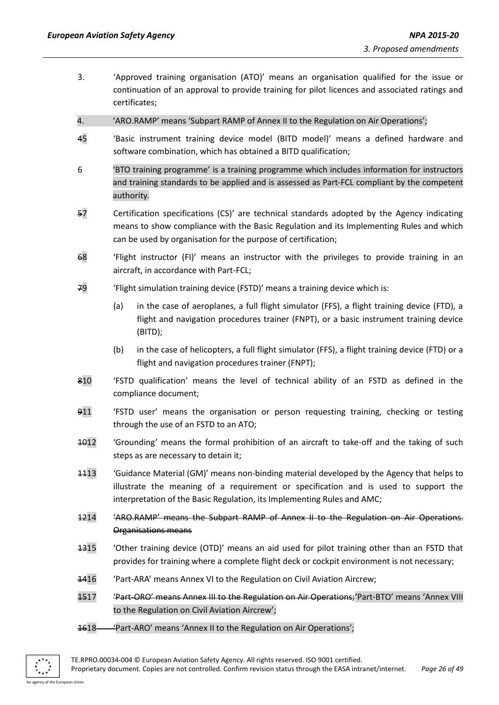- 3. 'Approved training organisation (ATO)' means an organisation qualified for the issue or continuation of an approval to provide training for pilot licences and associated ratings and certificates;
- 4. 'ARO.RAMP' means 'Subpart RAMP of Annex II to the Regulation on Air Operations';
- 45 'Basic instrument training device model (BITD model)' means a defined hardware and software combination, which has obtained a BITD qualification;
- 6 'BTO training programme' is a training programme which includes information for instructors and training standards to be applied and is assessed as Part-FCL compliant by the competent authority.
- 57 Certification specifications (CS)' are technical standards adopted by the Agency indicating means to show compliance with the Basic Regulation and its Implementing Rules and which can be used by organisation for the purpose of certification;
- 68 'Flight instructor (FI)' means an instructor with the privileges to provide training in an aircraft, in accordance with Part-FCL;
- 79 'Flight simulation training device (FSTD)' means a training device which is:
	- (a) in the case of aeroplanes, a full flight simulator (FFS), a flight training device (FTD), a flight and navigation procedures trainer (FNPT), or a basic instrument training device (BITD);
	- (b) in the case of helicopters, a full flight simulator (FFS), a flight training device (FTD) or a flight and navigation procedures trainer (FNPT);
- 810 'FSTD qualification' means the level of technical ability of an FSTD as defined in the compliance document;
- 911 'FSTD user' means the organisation or person requesting training, checking or testing through the use of an FSTD to an ATO;
- 1012 'Grounding' means the formal prohibition of an aircraft to take-off and the taking of such steps as are necessary to detain it;
- 1113 'Guidance Material (GM)' means non-binding material developed by the Agency that helps to illustrate the meaning of a requirement or specification and is used to support the interpretation of the Basic Regulation, its Implementing Rules and AMC;
- 1214 'ARO.RAMP' means the Subpart RAMP of Annex II to the Regulation on Air Operations. Organisations means
- 1315 'Other training device (OTD)' means an aid used for pilot training other than an FSTD that provides for training where a complete flight deck or cockpit environment is not necessary;
- 1416 'Part-ARA' means Annex VI to the Regulation on Civil Aviation Aircrew;
- 1517 'Part-ORO' means Annex III to the Regulation on Air Operations; 'Part-BTO' means 'Annex VIII to the Regulation on Civil Aviation Aircrew';
- 1618 'Part-ARO' means 'Annex II to the Regulation on Air Operations';



TE.RPRO.00034-004 © European Aviation Safety Agency. All rights reserved. ISO 9001 certified. Proprietary document. Copies are not controlled. Confirm revision status through the EASA intranet/internet. *Page 26 of 49*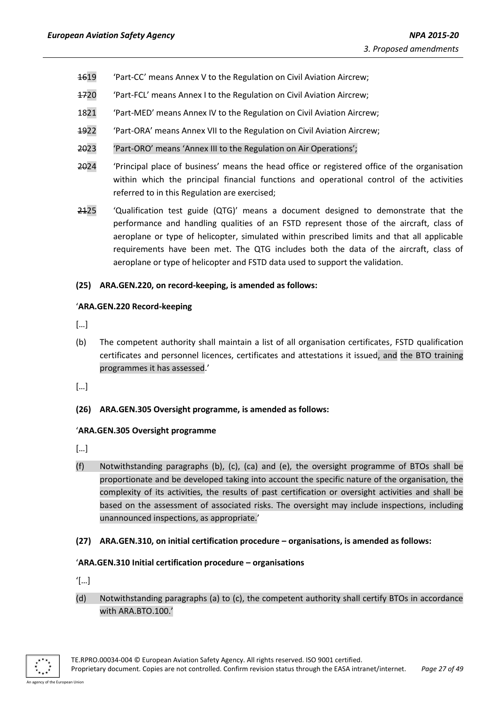- 1619 'Part-CC' means Annex V to the Regulation on Civil Aviation Aircrew;
- 1720 'Part-FCL' means Annex I to the Regulation on Civil Aviation Aircrew;
- 1821 'Part-MED' means Annex IV to the Regulation on Civil Aviation Aircrew;
- 1922 'Part-ORA' means Annex VII to the Regulation on Civil Aviation Aircrew;
- 2023 'Part-ORO' means 'Annex III to the Regulation on Air Operations';
- 2024 'Principal place of business' means the head office or registered office of the organisation within which the principal financial functions and operational control of the activities referred to in this Regulation are exercised;
- 2125 'Qualification test guide (QTG)' means a document designed to demonstrate that the performance and handling qualities of an FSTD represent those of the aircraft, class of aeroplane or type of helicopter, simulated within prescribed limits and that all applicable requirements have been met. The QTG includes both the data of the aircraft, class of aeroplane or type of helicopter and FSTD data used to support the validation.

#### **(25) ARA.GEN.220, on record-keeping, is amended as follows:**

#### '**ARA.GEN.220 Record-keeping**

[…]

(b) The competent authority shall maintain a list of all organisation certificates, FSTD qualification certificates and personnel licences, certificates and attestations it issued, and the BTO training programmes it has assessed.'

[…]

## **(26) ARA.GEN.305 Oversight programme, is amended as follows:**

#### '**ARA.GEN.305 Oversight programme**

[…]

- (f) Notwithstanding paragraphs (b), (c), (ca) and (e), the oversight programme of BTOs shall be proportionate and be developed taking into account the specific nature of the organisation, the complexity of its activities, the results of past certification or oversight activities and shall be based on the assessment of associated risks. The oversight may include inspections, including unannounced inspections, as appropriate.'
- **(27) ARA.GEN.310, on initial certification procedure – organisations, is amended as follows:**

#### '**ARA.GEN.310 Initial certification procedure – organisations**

- '[…]
- (d) Notwithstanding paragraphs (a) to (c), the competent authority shall certify BTOs in accordance with ARA.BTO.100.'

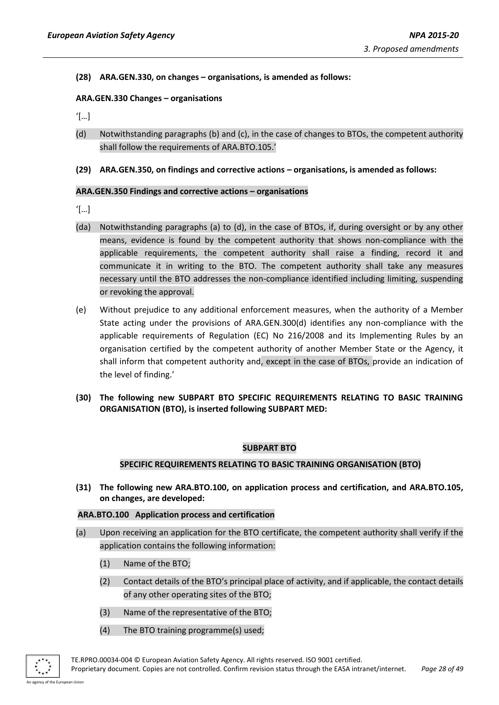**(28) ARA.GEN.330, on changes – organisations, is amended as follows:**

## **ARA.GEN.330 Changes – organisations**

'[…]

- (d) Notwithstanding paragraphs (b) and (c), in the case of changes to BTOs, the competent authority shall follow the requirements of ARA.BTO.105.'
- **(29) ARA.GEN.350, on findings and corrective actions – organisations, is amended as follows:**

#### **ARA.GEN.350 Findings and corrective actions – organisations**

- '[…]
- (da) Notwithstanding paragraphs (a) to (d), in the case of BTOs, if, during oversight or by any other means, evidence is found by the competent authority that shows non-compliance with the applicable requirements, the competent authority shall raise a finding, record it and communicate it in writing to the BTO. The competent authority shall take any measures necessary until the BTO addresses the non-compliance identified including limiting, suspending or revoking the approval.
- (e) Without prejudice to any additional enforcement measures, when the authority of a Member State acting under the provisions of ARA.GEN.300(d) identifies any non-compliance with the applicable requirements of Regulation (EC) No 216/2008 and its Implementing Rules by an organisation certified by the competent authority of another Member State or the Agency, it shall inform that competent authority and, except in the case of BTOs, provide an indication of the level of finding.'
- **(30) The following new SUBPART BTO SPECIFIC REQUIREMENTS RELATING TO BASIC TRAINING ORGANISATION (BTO), is inserted following SUBPART MED:**

#### **SUBPART BTO**

#### **SPECIFIC REQUIREMENTS RELATING TO BASIC TRAINING ORGANISATION (BTO)**

**(31) The following new ARA.BTO.100, on application process and certification, and ARA.BTO.105, on changes, are developed:**

#### **ARA.BTO.100 Application process and certification**

- (a) Upon receiving an application for the BTO certificate, the competent authority shall verify if the application contains the following information:
	- (1) Name of the BTO;
	- (2) Contact details of the BTO's principal place of activity, and if applicable, the contact details of any other operating sites of the BTO;
	- (3) Name of the representative of the BTO;
	- (4) The BTO training programme(s) used;

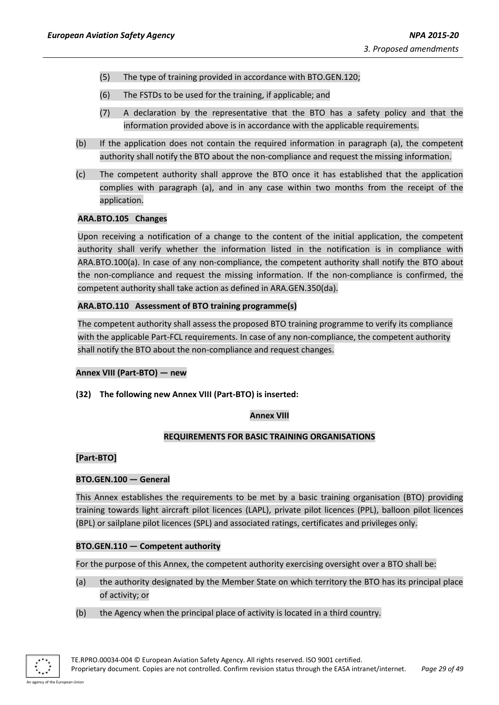- (5) The type of training provided in accordance with BTO.GEN.120;
- (6) The FSTDs to be used for the training, if applicable; and
- (7) A declaration by the representative that the BTO has a safety policy and that the information provided above is in accordance with the applicable requirements.
- (b) If the application does not contain the required information in paragraph (a), the competent authority shall notify the BTO about the non-compliance and request the missing information.
- (c) The competent authority shall approve the BTO once it has established that the application complies with paragraph (a), and in any case within two months from the receipt of the application.

## **ARA.BTO.105 Changes**

Upon receiving a notification of a change to the content of the initial application, the competent authority shall verify whether the information listed in the notification is in compliance with ARA.BTO.100(a). In case of any non-compliance, the competent authority shall notify the BTO about the non-compliance and request the missing information. If the non-compliance is confirmed, the competent authority shall take action as defined in ARA.GEN.350(da).

## **ARA.BTO.110 Assessment of BTO training programme(s)**

The competent authority shall assess the proposed BTO training programme to verify its compliance with the applicable Part-FCL requirements. In case of any non-compliance, the competent authority shall notify the BTO about the non-compliance and request changes.

#### <span id="page-28-0"></span>**Annex VIII (Part-BTO) — new**

**(32) The following new Annex VIII (Part-BTO) is inserted:**

#### **Annex VIII**

#### **REQUIREMENTS FOR BASIC TRAINING ORGANISATIONS**

## **[Part-BTO]**

## **BTO.GEN.100 — General**

This Annex establishes the requirements to be met by a basic training organisation (BTO) providing training towards light aircraft pilot licences (LAPL), private pilot licences (PPL), balloon pilot licences (BPL) or sailplane pilot licences (SPL) and associated ratings, certificates and privileges only.

## **BTO.GEN.110 — Competent authority**

For the purpose of this Annex, the competent authority exercising oversight over a BTO shall be:

- (a) the authority designated by the Member State on which territory the BTO has its principal place of activity; or
- (b) the Agency when the principal place of activity is located in a third country.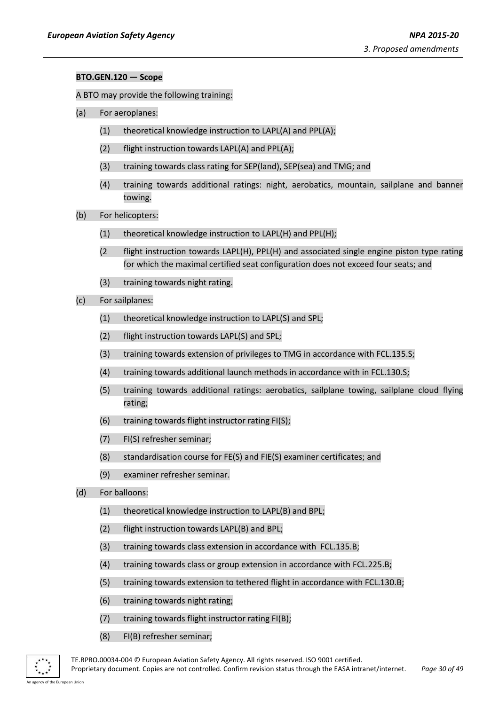#### **BTO.GEN.120 — Scope**

A BTO may provide the following training:

- (a) For aeroplanes:
	- (1) theoretical knowledge instruction to LAPL(A) and PPL(A);
	- (2) flight instruction towards LAPL(A) and PPL(A);
	- (3) training towards class rating for SEP(land), SEP(sea) and TMG; and
	- (4) training towards additional ratings: night, aerobatics, mountain, sailplane and banner towing.
- (b) For helicopters:
	- (1) theoretical knowledge instruction to LAPL(H) and PPL(H);
	- (2 flight instruction towards LAPL(H), PPL(H) and associated single engine piston type rating for which the maximal certified seat configuration does not exceed four seats; and
	- (3) training towards night rating.
- (c) For sailplanes:
	- (1) theoretical knowledge instruction to LAPL(S) and SPL;
	- (2) flight instruction towards LAPL(S) and SPL;
	- (3) training towards extension of privileges to TMG in accordance with FCL.135.S;
	- (4) training towards additional launch methods in accordance with in FCL.130.S;
	- (5) training towards additional ratings: aerobatics, sailplane towing, sailplane cloud flying rating;
	- (6) training towards flight instructor rating FI(S);
	- (7) FI(S) refresher seminar;
	- (8) standardisation course for FE(S) and FIE(S) examiner certificates; and
	- (9) examiner refresher seminar.
- (d) For balloons:
	- (1) theoretical knowledge instruction to LAPL(B) and BPL;
	- (2) flight instruction towards LAPL(B) and BPL;
	- (3) training towards class extension in accordance with FCL.135.B;
	- (4) training towards class or group extension in accordance with FCL.225.B;
	- (5) training towards extension to tethered flight in accordance with FCL.130.B;
	- (6) training towards night rating;
	- (7) training towards flight instructor rating FI(B);
	- (8) FI(B) refresher seminar;



TE.RPRO.00034-004 © European Aviation Safety Agency. All rights reserved. ISO 9001 certified. Proprietary document. Copies are not controlled. Confirm revision status through the EASA intranet/internet. *Page 30 of 49*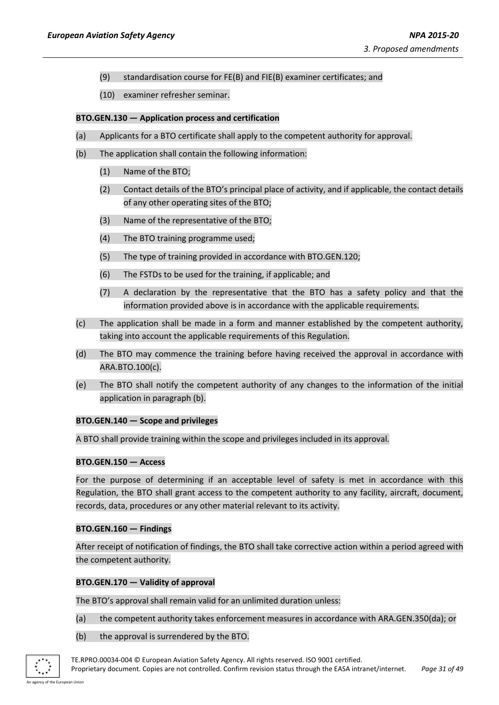- (9) standardisation course for FE(B) and FIE(B) examiner certificates; and
- (10) examiner refresher seminar.

#### **BTO.GEN.130 — Application process and certification**

- (a) Applicants for a BTO certificate shall apply to the competent authority for approval.
- (b) The application shall contain the following information:
	- (1) Name of the BTO;
	- (2) Contact details of the BTO's principal place of activity, and if applicable, the contact details of any other operating sites of the BTO;
	- (3) Name of the representative of the BTO;
	- (4) The BTO training programme used;
	- (5) The type of training provided in accordance with BTO.GEN.120;
	- (6) The FSTDs to be used for the training, if applicable; and
	- (7) A declaration by the representative that the BTO has a safety policy and that the information provided above is in accordance with the applicable requirements.
- (c) The application shall be made in a form and manner established by the competent authority, taking into account the applicable requirements of this Regulation.
- (d) The BTO may commence the training before having received the approval in accordance with ARA.BTO.100(c).
- (e) The BTO shall notify the competent authority of any changes to the information of the initial application in paragraph (b).

#### **BTO.GEN.140 — Scope and privileges**

A BTO shall provide training within the scope and privileges included in its approval.

#### **BTO.GEN.150 — Access**

For the purpose of determining if an acceptable level of safety is met in accordance with this Regulation, the BTO shall grant access to the competent authority to any facility, aircraft, document, records, data, procedures or any other material relevant to its activity.

#### **BTO.GEN.160 — Findings**

After receipt of notification of findings, the BTO shall take corrective action within a period agreed with the competent authority.

## **BTO.GEN.170 — Validity of approval**

The BTO's approval shall remain valid for an unlimited duration unless:

- (a) the competent authority takes enforcement measures in accordance with ARA.GEN.350(da); or
- (b) the approval is surrendered by the BTO.



TE.RPRO.00034-004 © European Aviation Safety Agency. All rights reserved. ISO 9001 certified. Proprietary document. Copies are not controlled. Confirm revision status through the EASA intranet/internet. *Page 31 of 49*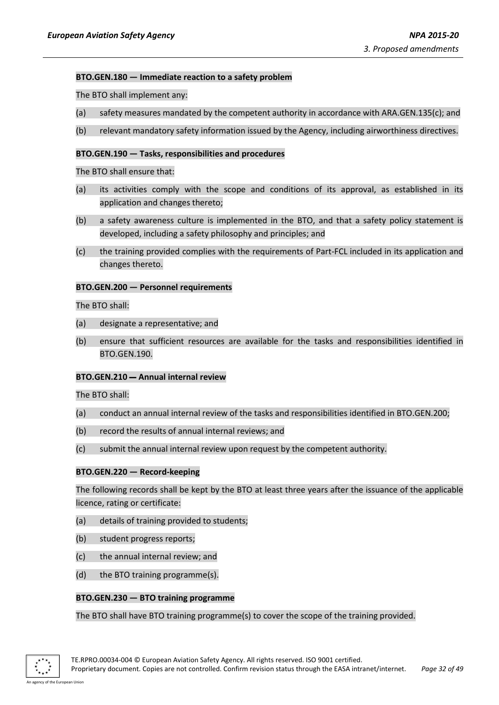#### **BTO.GEN.180 — Immediate reaction to a safety problem**

The BTO shall implement any:

- (a) safety measures mandated by the competent authority in accordance with ARA.GEN.135(c); and
- (b) relevant mandatory safety information issued by the Agency, including airworthiness directives.

#### **BTO.GEN.190 — Tasks, responsibilities and procedures**

#### The BTO shall ensure that:

- (a) its activities comply with the scope and conditions of its approval, as established in its application and changes thereto;
- (b) a safety awareness culture is implemented in the BTO, and that a safety policy statement is developed, including a safety philosophy and principles; and
- (c) the training provided complies with the requirements of Part-FCL included in its application and changes thereto.

#### **BTO.GEN.200 — Personnel requirements**

The BTO shall:

- (a) designate a representative; and
- (b) ensure that sufficient resources are available for the tasks and responsibilities identified in BTO.GEN.190.

#### **BTO.GEN.210 — Annual internal review**

The BTO shall:

- (a) conduct an annual internal review of the tasks and responsibilities identified in BTO.GEN.200;
- (b) record the results of annual internal reviews; and
- (c) submit the annual internal review upon request by the competent authority.

#### **BTO.GEN.220 — Record-keeping**

The following records shall be kept by the BTO at least three years after the issuance of the applicable licence, rating or certificate:

- (a) details of training provided to students;
- (b) student progress reports;
- (c) the annual internal review; and
- (d) the BTO training programme(s).

#### **BTO.GEN.230 — BTO training programme**

#### The BTO shall have BTO training programme(s) to cover the scope of the training provided.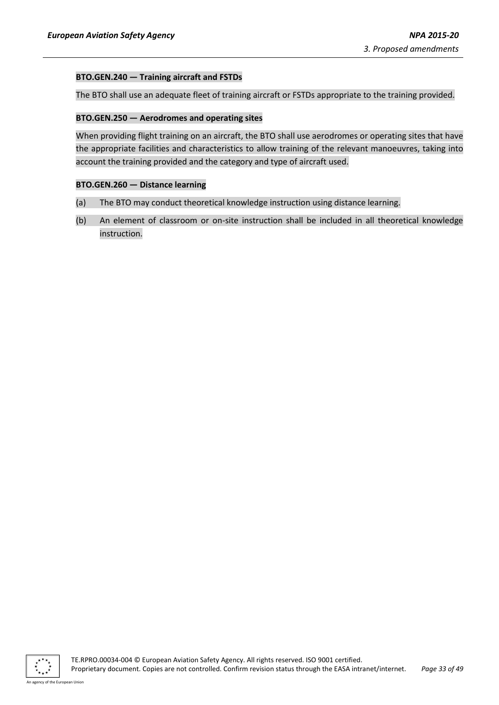## **BTO.GEN.240 — Training aircraft and FSTDs**

The BTO shall use an adequate fleet of training aircraft or FSTDs appropriate to the training provided.

#### **BTO.GEN.250 — Aerodromes and operating sites**

When providing flight training on an aircraft, the BTO shall use aerodromes or operating sites that have the appropriate facilities and characteristics to allow training of the relevant manoeuvres, taking into account the training provided and the category and type of aircraft used.

#### **BTO.GEN.260 — Distance learning**

- (a) The BTO may conduct theoretical knowledge instruction using distance learning.
- (b) An element of classroom or on-site instruction shall be included in all theoretical knowledge instruction.

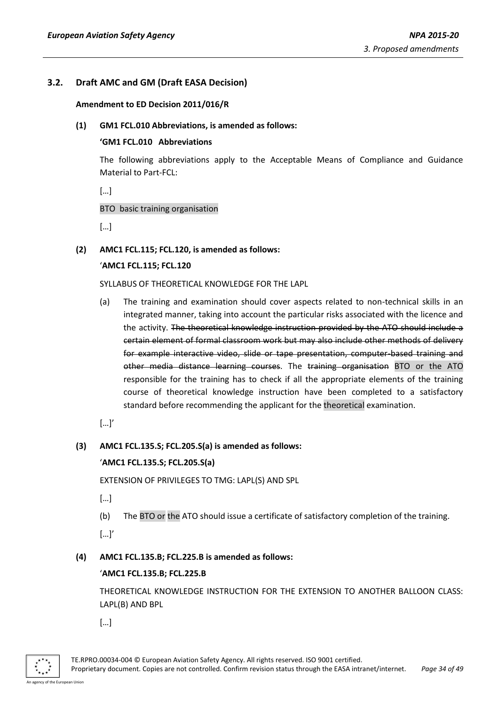## <span id="page-33-1"></span><span id="page-33-0"></span>**3.2. Draft AMC and GM (Draft EASA Decision)**

#### **Amendment to ED Decision 2011/016/R**

## **(1) GM1 FCL.010 Abbreviations, is amended as follows:**

#### **'GM1 FCL.010 Abbreviations**

The following abbreviations apply to the Acceptable Means of Compliance and Guidance Material to Part-FCL:

 $\lbrack \cdot \cdot \cdot \rbrack$ 

## BTO basic training organisation

[…]

**(2) AMC1 FCL.115; FCL.120, is amended as follows:**

## '**AMC1 FCL.115; FCL.120**

SYLLABUS OF THEORETICAL KNOWLEDGE FOR THE LAPL

(a) The training and examination should cover aspects related to non-technical skills in an integrated manner, taking into account the particular risks associated with the licence and the activity. The theoretical knowledge instruction provided by the ATO should include a certain element of formal classroom work but may also include other methods of delivery for example interactive video, slide or tape presentation, computer-based training and other media distance learning courses. The training organisation BTO or the ATO responsible for the training has to check if all the appropriate elements of the training course of theoretical knowledge instruction have been completed to a satisfactory standard before recommending the applicant for the theoretical examination.

[…]'

## **(3) AMC1 FCL.135.S; FCL.205.S(a) is amended as follows:**

## '**AMC1 FCL.135.S; FCL.205.S(a)**

EXTENSION OF PRIVILEGES TO TMG: LAPL(S) AND SPL

- […]
- (b) The BTO or the ATO should issue a certificate of satisfactory completion of the training.

[…]'

## **(4) AMC1 FCL.135.B; FCL.225.B is amended as follows:**

## '**AMC1 FCL.135.B; FCL.225.B**

THEORETICAL KNOWLEDGE INSTRUCTION FOR THE EXTENSION TO ANOTHER BALLOON CLASS: LAPL(B) AND BPL

[…]

TE.RPRO.00034-004 © European Aviation Safety Agency. All rights reserved. ISO 9001 certified. Proprietary document. Copies are not controlled. Confirm revision status through the EASA intranet/internet. *Page 34 of 49*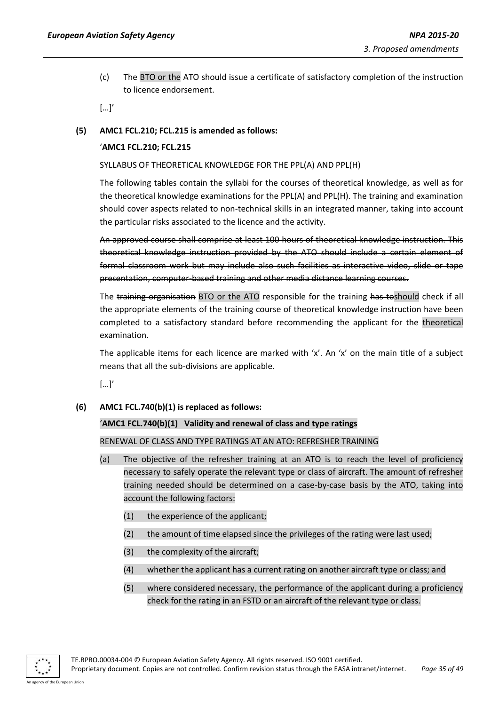(c) The BTO or the ATO should issue a certificate of satisfactory completion of the instruction to licence endorsement.

 $[...]'$ 

## **(5) AMC1 FCL.210; FCL.215 is amended as follows:**

## '**AMC1 FCL.210; FCL.215**

#### SYLLABUS OF THEORETICAL KNOWLEDGE FOR THE PPL(A) AND PPL(H)

The following tables contain the syllabi for the courses of theoretical knowledge, as well as for the theoretical knowledge examinations for the PPL(A) and PPL(H). The training and examination should cover aspects related to non-technical skills in an integrated manner, taking into account the particular risks associated to the licence and the activity.

An approved course shall comprise at least 100 hours of theoretical knowledge instruction. This theoretical knowledge instruction provided by the ATO should include a certain element of formal classroom work but may include also such facilities as interactive video, slide or tape presentation, computer-based training and other media distance learning courses.

The training organisation BTO or the ATO responsible for the training has toshould check if all the appropriate elements of the training course of theoretical knowledge instruction have been completed to a satisfactory standard before recommending the applicant for the theoretical examination.

The applicable items for each licence are marked with 'x'. An 'x' on the main title of a subject means that all the sub-divisions are applicable.

[…]'

#### **(6) AMC1 FCL.740(b)(1) is replaced as follows:**

#### '**AMC1 FCL.740(b)(1) Validity and renewal of class and type ratings**

#### RENEWAL OF CLASS AND TYPE RATINGS AT AN ATO: REFRESHER TRAINING

- (a) The objective of the refresher training at an ATO is to reach the level of proficiency necessary to safely operate the relevant type or class of aircraft. The amount of refresher training needed should be determined on a case-by-case basis by the ATO, taking into account the following factors:
	- (1) the experience of the applicant;
	- (2) the amount of time elapsed since the privileges of the rating were last used;
	- (3) the complexity of the aircraft;
	- (4) whether the applicant has a current rating on another aircraft type or class; and
	- (5) where considered necessary, the performance of the applicant during a proficiency check for the rating in an FSTD or an aircraft of the relevant type or class.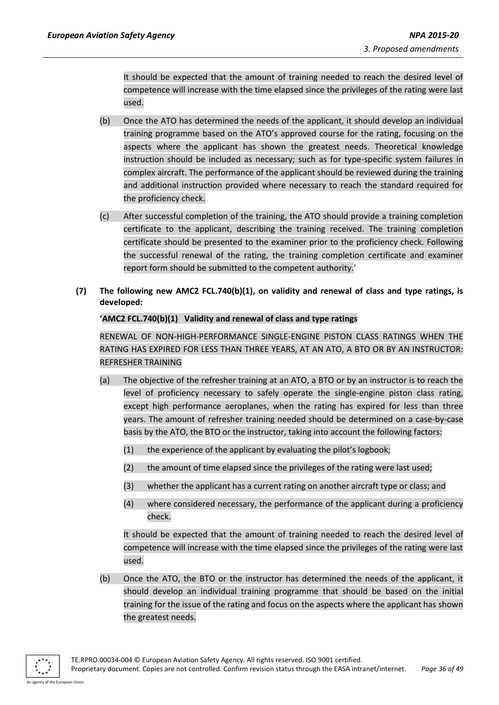It should be expected that the amount of training needed to reach the desired level of competence will increase with the time elapsed since the privileges of the rating were last used.

- (b) Once the ATO has determined the needs of the applicant, it should develop an individual training programme based on the ATO's approved course for the rating, focusing on the aspects where the applicant has shown the greatest needs. Theoretical knowledge instruction should be included as necessary; such as for type-specific system failures in complex aircraft. The performance of the applicant should be reviewed during the training and additional instruction provided where necessary to reach the standard required for the proficiency check.
- (c) After successful completion of the training, the ATO should provide a training completion certificate to the applicant, describing the training received. The training completion certificate should be presented to the examiner prior to the proficiency check. Following the successful renewal of the rating, the training completion certificate and examiner report form should be submitted to the competent authority.'
- **(7) The following new AMC2 FCL.740(b)(1), on validity and renewal of class and type ratings, is developed:**

## **'AMC2 FCL.740(b)(1) Validity and renewal of class and type ratings**

RENEWAL OF NON-HIGH-PERFORMANCE SINGLE-ENGINE PISTON CLASS RATINGS WHEN THE RATING HAS EXPIRED FOR LESS THAN THREE YEARS, AT AN ATO, A BTO OR BY AN INSTRUCTOR: REFRESHER TRAINING

- (a) The objective of the refresher training at an ATO, a BTO or by an instructor is to reach the level of proficiency necessary to safely operate the single-engine piston class rating, except high performance aeroplanes, when the rating has expired for less than three years. The amount of refresher training needed should be determined on a case-by-case basis by the ATO, the BTO or the instructor, taking into account the following factors:
	- (1) the experience of the applicant by evaluating the pilot's logbook;
	- (2) the amount of time elapsed since the privileges of the rating were last used;
	- (3) whether the applicant has a current rating on another aircraft type or class; and
	- (4) where considered necessary, the performance of the applicant during a proficiency check.

It should be expected that the amount of training needed to reach the desired level of competence will increase with the time elapsed since the privileges of the rating were last used.

(b) Once the ATO, the BTO or the instructor has determined the needs of the applicant, it should develop an individual training programme that should be based on the initial training for the issue of the rating and focus on the aspects where the applicant has shown the greatest needs.

TE.RPRO.00034-004 © European Aviation Safety Agency. All rights reserved. ISO 9001 certified. Proprietary document. Copies are not controlled. Confirm revision status through the EASA intranet/internet. *Page 36 of 49*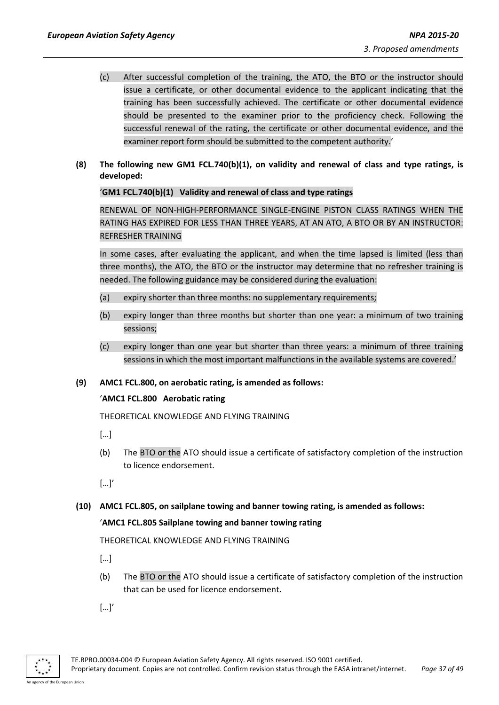- (c) After successful completion of the training, the ATO, the BTO or the instructor should issue a certificate, or other documental evidence to the applicant indicating that the training has been successfully achieved. The certificate or other documental evidence should be presented to the examiner prior to the proficiency check. Following the successful renewal of the rating, the certificate or other documental evidence, and the examiner report form should be submitted to the competent authority.'
- **(8) The following new GM1 FCL.740(b)(1), on validity and renewal of class and type ratings, is developed:**

#### '**GM1 FCL.740(b)(1) Validity and renewal of class and type ratings**

RENEWAL OF NON-HIGH-PERFORMANCE SINGLE-ENGINE PISTON CLASS RATINGS WHEN THE RATING HAS EXPIRED FOR LESS THAN THREE YEARS, AT AN ATO, A BTO OR BY AN INSTRUCTOR: REFRESHER TRAINING

In some cases, after evaluating the applicant, and when the time lapsed is limited (less than three months), the ATO, the BTO or the instructor may determine that no refresher training is needed. The following guidance may be considered during the evaluation:

- (a) expiry shorter than three months: no supplementary requirements;
- (b) expiry longer than three months but shorter than one year: a minimum of two training sessions;
- (c) expiry longer than one year but shorter than three years: a minimum of three training sessions in which the most important malfunctions in the available systems are covered.'
- **(9) AMC1 FCL.800, on aerobatic rating, is amended as follows:**

## '**AMC1 FCL.800 Aerobatic rating**

THEORETICAL KNOWLEDGE AND FLYING TRAINING

[…]

- (b) The BTO or the ATO should issue a certificate of satisfactory completion of the instruction to licence endorsement.
- […]'
- **(10) AMC1 FCL.805, on sailplane towing and banner towing rating, is amended as follows:**

#### '**AMC1 FCL.805 Sailplane towing and banner towing rating**

THEORETICAL KNOWLEDGE AND FLYING TRAINING

- […]
- (b) The BTO or the ATO should issue a certificate of satisfactory completion of the instruction that can be used for licence endorsement.
- […]'

TE.RPRO.00034-004 © European Aviation Safety Agency. All rights reserved. ISO 9001 certified.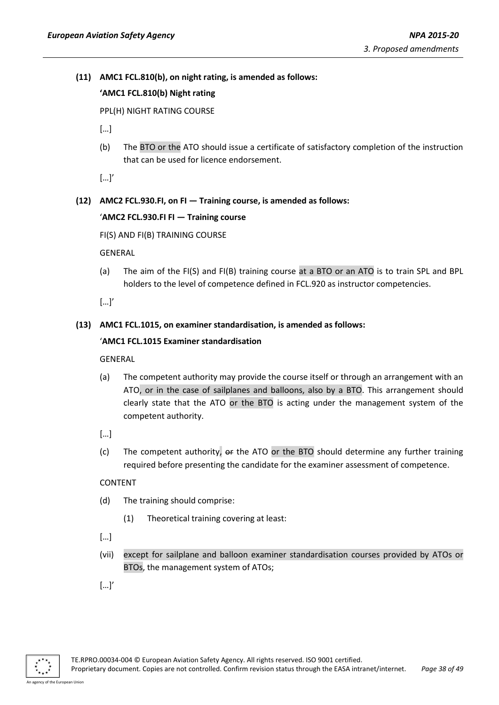## **(11) AMC1 FCL.810(b), on night rating, is amended as follows:**

## **'AMC1 FCL.810(b) Night rating**

PPL(H) NIGHT RATING COURSE

- $\lceil$ ...]
- (b) The BTO or the ATO should issue a certificate of satisfactory completion of the instruction that can be used for licence endorsement.

[…]'

## **(12) AMC2 FCL.930.FI, on FI — Training course, is amended as follows:**

#### '**AMC2 FCL.930.FI FI — Training course**

FI(S) AND FI(B) TRAINING COURSE

GENERAL

(a) The aim of the FI(S) and FI(B) training course at a BTO or an ATO is to train SPL and BPL holders to the level of competence defined in FCL.920 as instructor competencies.

[…]'

#### **(13) AMC1 FCL.1015, on examiner standardisation, is amended as follows:**

#### '**AMC1 FCL.1015 Examiner standardisation**

GENERAL

- (a) The competent authority may provide the course itself or through an arrangement with an ATO, or in the case of sailplanes and balloons, also by a BTO. This arrangement should clearly state that the ATO or the BTO is acting under the management system of the competent authority.
- […]
- (c) The competent authority,  $\theta$  at the ATO or the BTO should determine any further training required before presenting the candidate for the examiner assessment of competence.

#### CONTENT

- (d) The training should comprise:
	- (1) Theoretical training covering at least:
- […]
- (vii) except for sailplane and balloon examiner standardisation courses provided by ATOs or BTOs, the management system of ATOs;
- […]'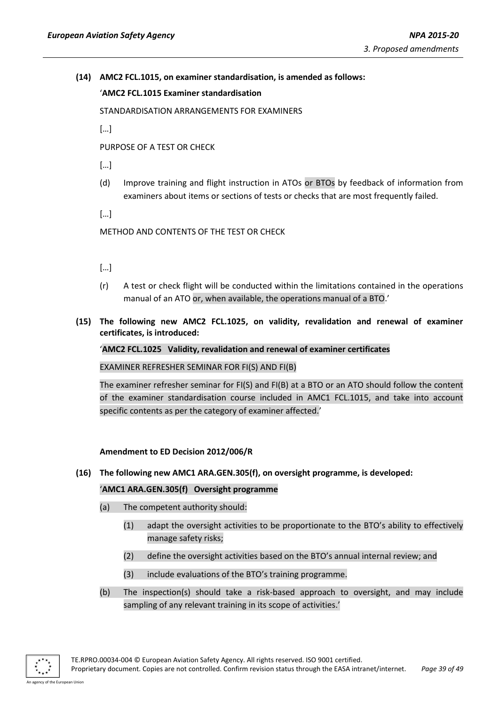## **(14) AMC2 FCL.1015, on examiner standardisation, is amended as follows:**

'**AMC2 FCL.1015 Examiner standardisation**

STANDARDISATION ARRANGEMENTS FOR EXAMINERS

 $[...]$ 

PURPOSE OF A TEST OR CHECK

 $\lceil$ ...]

(d) Improve training and flight instruction in ATOs or BTOs by feedback of information from examiners about items or sections of tests or checks that are most frequently failed.

[…]

METHOD AND CONTENTS OF THE TEST OR CHECK

[…]

- (r) A test or check flight will be conducted within the limitations contained in the operations manual of an ATO or, when available, the operations manual of a BTO.'
- **(15) The following new AMC2 FCL.1025, on validity, revalidation and renewal of examiner certificates, is introduced:**

'**AMC2 FCL.1025 Validity, revalidation and renewal of examiner certificates**

EXAMINER REFRESHER SEMINAR FOR FI(S) AND FI(B)

The examiner refresher seminar for FI(S) and FI(B) at a BTO or an ATO should follow the content of the examiner standardisation course included in AMC1 FCL.1015, and take into account specific contents as per the category of examiner affected.'

**Amendment to ED Decision 2012/006/R**

<span id="page-38-0"></span>**(16) The following new AMC1 ARA.GEN.305(f), on oversight programme, is developed:**

#### '**AMC1 ARA.GEN.305(f) Oversight programme**

- (a) The competent authority should:
	- (1) adapt the oversight activities to be proportionate to the BTO's ability to effectively manage safety risks;
	- (2) define the oversight activities based on the BTO's annual internal review; and
	- (3) include evaluations of the BTO's training programme.
- (b) The inspection(s) should take a risk-based approach to oversight, and may include sampling of any relevant training in its scope of activities.'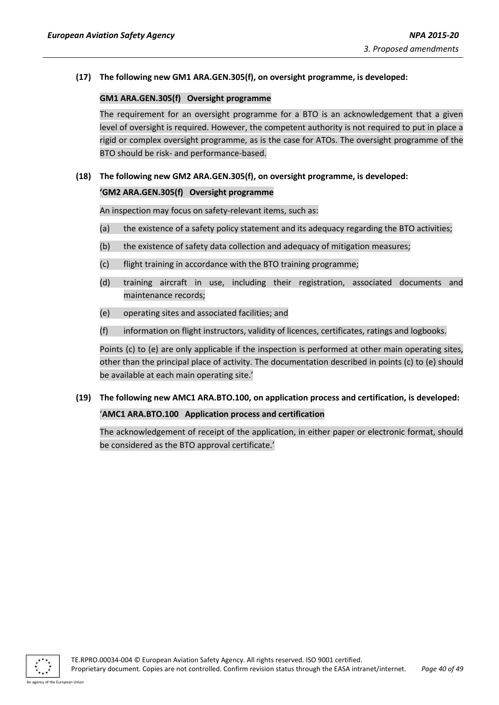## **(17) The following new GM1 ARA.GEN.305(f), on oversight programme, is developed:**

#### **GM1 ARA.GEN.305(f) Oversight programme**

The requirement for an oversight programme for a BTO is an acknowledgement that a given level of oversight is required. However, the competent authority is not required to put in place a rigid or complex oversight programme, as is the case for ATOs. The oversight programme of the BTO should be risk- and performance-based.

## **(18) The following new GM2 ARA.GEN.305(f), on oversight programme, is developed:**

## **'GM2 ARA.GEN.305(f) Oversight programme**

An inspection may focus on safety-relevant items, such as:

- (a) the existence of a safety policy statement and its adequacy regarding the BTO activities;
- (b) the existence of safety data collection and adequacy of mitigation measures;
- (c) flight training in accordance with the BTO training programme;
- (d) training aircraft in use, including their registration, associated documents and maintenance records;
- (e) operating sites and associated facilities; and
- (f) information on flight instructors, validity of licences, certificates, ratings and logbooks.

Points (c) to (e) are only applicable if the inspection is performed at other main operating sites, other than the principal place of activity. The documentation described in points (c) to (e) should be available at each main operating site.'

# **(19) The following new AMC1 ARA.BTO.100, on application process and certification, is developed:**

'**AMC1 ARA.BTO.100 Application process and certification**

The acknowledgement of receipt of the application, in either paper or electronic format, should be considered as the BTO approval certificate.'

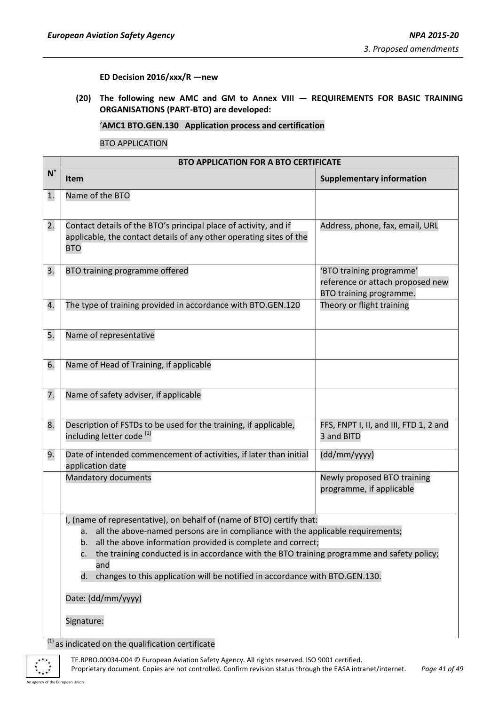**ED Decision 2016/xxx/R —new**

<span id="page-40-0"></span>**(20) The following new AMC and GM to Annex VIII — REQUIREMENTS FOR BASIC TRAINING ORGANISATIONS (PART-BTO) are developed:**

'**AMC1 BTO.GEN.130 Application process and certification**

BTO APPLICATION

|             | <b>BTO APPLICATION FOR A BTO CERTIFICATE</b>                                                                                                                                                                                                                                                                                                                                                                                           |                                                                                         |  |
|-------------|----------------------------------------------------------------------------------------------------------------------------------------------------------------------------------------------------------------------------------------------------------------------------------------------------------------------------------------------------------------------------------------------------------------------------------------|-----------------------------------------------------------------------------------------|--|
| $N^{\circ}$ | <b>Item</b>                                                                                                                                                                                                                                                                                                                                                                                                                            | <b>Supplementary information</b>                                                        |  |
| 1.          | Name of the BTO                                                                                                                                                                                                                                                                                                                                                                                                                        |                                                                                         |  |
| 2.          | Contact details of the BTO's principal place of activity, and if<br>applicable, the contact details of any other operating sites of the<br><b>BTO</b>                                                                                                                                                                                                                                                                                  | Address, phone, fax, email, URL                                                         |  |
| 3.          | BTO training programme offered                                                                                                                                                                                                                                                                                                                                                                                                         | 'BTO training programme'<br>reference or attach proposed new<br>BTO training programme. |  |
| 4.          | The type of training provided in accordance with BTO.GEN.120                                                                                                                                                                                                                                                                                                                                                                           | Theory or flight training                                                               |  |
| 5.          | Name of representative                                                                                                                                                                                                                                                                                                                                                                                                                 |                                                                                         |  |
| 6.          | Name of Head of Training, if applicable                                                                                                                                                                                                                                                                                                                                                                                                |                                                                                         |  |
| 7.          | Name of safety adviser, if applicable                                                                                                                                                                                                                                                                                                                                                                                                  |                                                                                         |  |
| 8.          | Description of FSTDs to be used for the training, if applicable,<br>including letter code <sup>(1)</sup>                                                                                                                                                                                                                                                                                                                               | FFS, FNPT I, II, and III, FTD 1, 2 and<br>3 and BITD                                    |  |
| 9.          | Date of intended commencement of activities, if later than initial<br>application date                                                                                                                                                                                                                                                                                                                                                 | (dd/mm/yyyy)                                                                            |  |
|             | Mandatory documents                                                                                                                                                                                                                                                                                                                                                                                                                    | Newly proposed BTO training<br>programme, if applicable                                 |  |
|             | I, (name of representative), on behalf of (name of BTO) certify that:<br>all the above-named persons are in compliance with the applicable requirements;<br>а. –<br>all the above information provided is complete and correct;<br>b.<br>the training conducted is in accordance with the BTO training programme and safety policy;<br>c.<br>and<br>changes to this application will be notified in accordance with BTO.GEN.130.<br>d. |                                                                                         |  |
|             | Date: (dd/mm/yyyy)                                                                                                                                                                                                                                                                                                                                                                                                                     |                                                                                         |  |
|             | Signature:                                                                                                                                                                                                                                                                                                                                                                                                                             |                                                                                         |  |

 $<sup>(1)</sup>$  as indicated on the qualification certificate</sup>



TE.RPRO.00034-004 © European Aviation Safety Agency. All rights reserved. ISO 9001 certified. Proprietary document. Copies are not controlled. Confirm revision status through the EASA intranet/internet. *Page 41 of 49*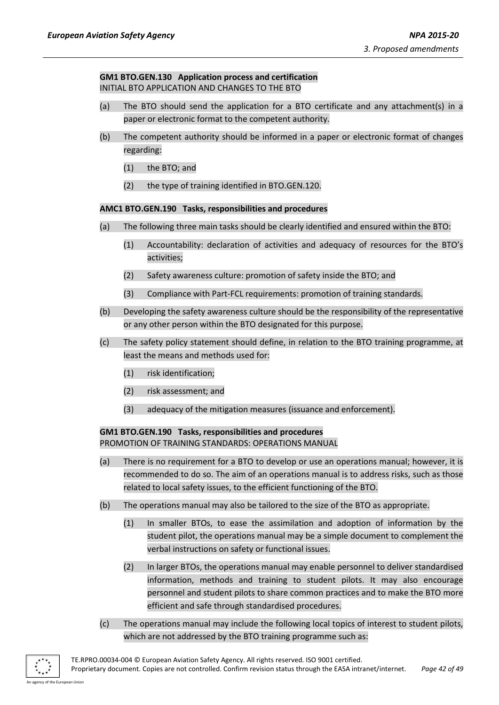## **GM1 BTO.GEN.130 Application process and certification** INITIAL BTO APPLICATION AND CHANGES TO THE BTO

- (a) The BTO should send the application for a BTO certificate and any attachment(s) in a paper or electronic format to the competent authority.
- (b) The competent authority should be informed in a paper or electronic format of changes regarding:
	- (1) the BTO; and
	- (2) the type of training identified in BTO.GEN.120.

## **AMC1 BTO.GEN.190 Tasks, responsibilities and procedures**

- (a) The following three main tasks should be clearly identified and ensured within the BTO:
	- (1) Accountability: declaration of activities and adequacy of resources for the BTO's activities;
	- (2) Safety awareness culture: promotion of safety inside the BTO; and
	- (3) Compliance with Part-FCL requirements: promotion of training standards.
- (b) Developing the safety awareness culture should be the responsibility of the representative or any other person within the BTO designated for this purpose.
- (c) The safety policy statement should define, in relation to the BTO training programme, at least the means and methods used for:
	- (1) risk identification;
	- (2) risk assessment; and
	- (3) adequacy of the mitigation measures (issuance and enforcement).

## **GM1 BTO.GEN.190 Tasks, responsibilities and procedures** PROMOTION OF TRAINING STANDARDS: OPERATIONS MANUAL

- (a) There is no requirement for a BTO to develop or use an operations manual; however, it is recommended to do so. The aim of an operations manual is to address risks, such as those related to local safety issues, to the efficient functioning of the BTO.
- (b) The operations manual may also be tailored to the size of the BTO as appropriate.
	- (1) In smaller BTOs, to ease the assimilation and adoption of information by the student pilot, the operations manual may be a simple document to complement the verbal instructions on safety or functional issues.
	- (2) In larger BTOs, the operations manual may enable personnel to deliver standardised information, methods and training to student pilots. It may also encourage personnel and student pilots to share common practices and to make the BTO more efficient and safe through standardised procedures.
- (c) The operations manual may include the following local topics of interest to student pilots, which are not addressed by the BTO training programme such as: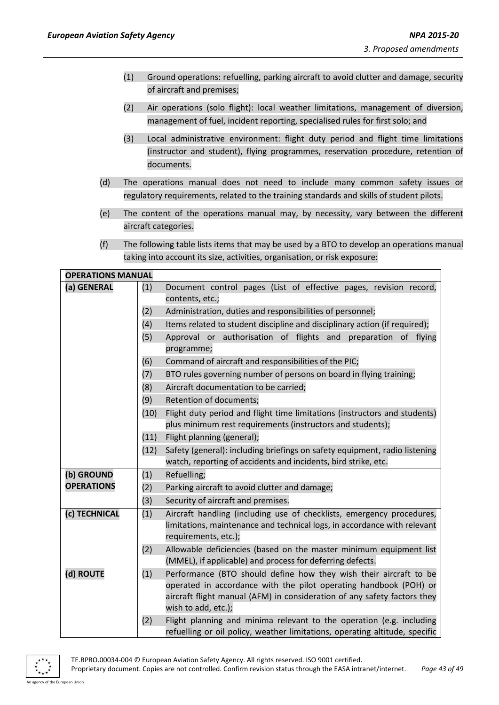- (1) Ground operations: refuelling, parking aircraft to avoid clutter and damage, security of aircraft and premises;
- (2) Air operations (solo flight): local weather limitations, management of diversion, management of fuel, incident reporting, specialised rules for first solo; and
- (3) Local administrative environment: flight duty period and flight time limitations (instructor and student), flying programmes, reservation procedure, retention of documents.
- (d) The operations manual does not need to include many common safety issues or regulatory requirements, related to the training standards and skills of student pilots.
- (e) The content of the operations manual may, by necessity, vary between the different aircraft categories.
- (f) The following table lists items that may be used by a BTO to develop an operations manual taking into account its size, activities, organisation, or risk exposure:

| <b>OPERATIONS MANUAL</b> |      |                                                                                                                                 |  |  |  |
|--------------------------|------|---------------------------------------------------------------------------------------------------------------------------------|--|--|--|
| (a) GENERAL              | (1)  | Document control pages (List of effective pages, revision record,                                                               |  |  |  |
|                          |      | contents, etc.;                                                                                                                 |  |  |  |
|                          | (2)  | Administration, duties and responsibilities of personnel;                                                                       |  |  |  |
|                          | (4)  | Items related to student discipline and disciplinary action (if required);                                                      |  |  |  |
|                          | (5)  | Approval or authorisation of flights and preparation of flying                                                                  |  |  |  |
|                          |      | programme;                                                                                                                      |  |  |  |
|                          | (6)  | Command of aircraft and responsibilities of the PIC;                                                                            |  |  |  |
|                          | (7)  | BTO rules governing number of persons on board in flying training;                                                              |  |  |  |
|                          | (8)  | Aircraft documentation to be carried;                                                                                           |  |  |  |
|                          | (9)  | Retention of documents;                                                                                                         |  |  |  |
|                          | (10) | Flight duty period and flight time limitations (instructors and students)                                                       |  |  |  |
|                          |      | plus minimum rest requirements (instructors and students);                                                                      |  |  |  |
|                          | (11) | Flight planning (general);                                                                                                      |  |  |  |
|                          | (12) | Safety (general): including briefings on safety equipment, radio listening                                                      |  |  |  |
|                          |      | watch, reporting of accidents and incidents, bird strike, etc.                                                                  |  |  |  |
| (b) GROUND               | (1)  | Refuelling;                                                                                                                     |  |  |  |
| <b>OPERATIONS</b>        | (2)  | Parking aircraft to avoid clutter and damage;                                                                                   |  |  |  |
|                          | (3)  | Security of aircraft and premises.                                                                                              |  |  |  |
| (c) TECHNICAL            | (1)  | Aircraft handling (including use of checklists, emergency procedures,                                                           |  |  |  |
|                          |      | limitations, maintenance and technical logs, in accordance with relevant<br>requirements, etc.);                                |  |  |  |
|                          |      |                                                                                                                                 |  |  |  |
|                          | (2)  | Allowable deficiencies (based on the master minimum equipment list<br>(MMEL), if applicable) and process for deferring defects. |  |  |  |
| (d) ROUTE                | (1)  | Performance (BTO should define how they wish their aircraft to be                                                               |  |  |  |
|                          |      | operated in accordance with the pilot operating handbook (POH) or                                                               |  |  |  |
|                          |      | aircraft flight manual (AFM) in consideration of any safety factors they                                                        |  |  |  |
|                          |      | wish to add, etc.);                                                                                                             |  |  |  |
|                          | (2)  | Flight planning and minima relevant to the operation (e.g. including                                                            |  |  |  |
|                          |      | refuelling or oil policy, weather limitations, operating altitude, specific                                                     |  |  |  |



TE.RPRO.00034-004 © European Aviation Safety Agency. All rights reserved. ISO 9001 certified.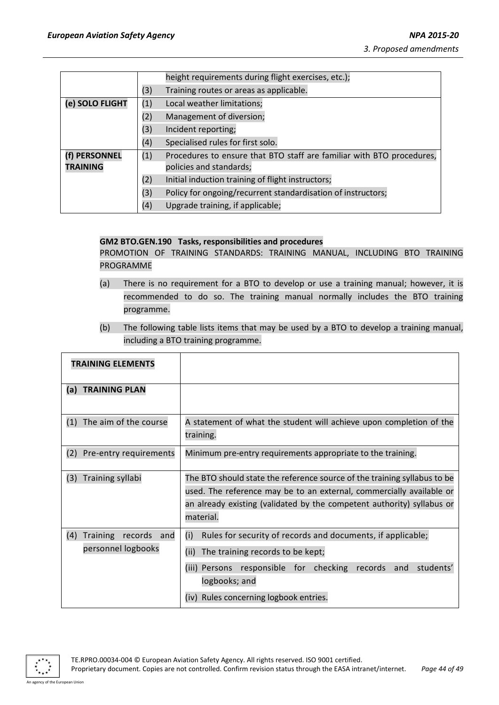|                 |     | height requirements during flight exercises, etc.);                   |
|-----------------|-----|-----------------------------------------------------------------------|
|                 | (3) | Training routes or areas as applicable.                               |
| (e) SOLO FLIGHT | (1) | Local weather limitations;                                            |
|                 | (2) | Management of diversion;                                              |
|                 | (3) | Incident reporting;                                                   |
|                 | (4) | Specialised rules for first solo.                                     |
| (f) PERSONNEL   | (1) | Procedures to ensure that BTO staff are familiar with BTO procedures, |
| <b>TRAINING</b> |     | policies and standards;                                               |
|                 | (2) | Initial induction training of flight instructors;                     |
|                 | (3) | Policy for ongoing/recurrent standardisation of instructors;          |
|                 | (4) | Upgrade training, if applicable;                                      |

#### **GM2 BTO.GEN.190 Tasks, responsibilities and procedures**

PROMOTION OF TRAINING STANDARDS: TRAINING MANUAL, INCLUDING BTO TRAINING PROGRAMME

- (a) There is no requirement for a BTO to develop or use a training manual; however, it is recommended to do so. The training manual normally includes the BTO training programme.
- (b) The following table lists items that may be used by a BTO to develop a training manual, including a BTO training programme.

| <b>TRAINING ELEMENTS</b>                                |                                                                                                                                                                                                                                                    |
|---------------------------------------------------------|----------------------------------------------------------------------------------------------------------------------------------------------------------------------------------------------------------------------------------------------------|
| <b>TRAINING PLAN</b><br>(a)                             |                                                                                                                                                                                                                                                    |
| The aim of the course<br>(1)                            | A statement of what the student will achieve upon completion of the<br>training.                                                                                                                                                                   |
| (2)<br>Pre-entry requirements                           | Minimum pre-entry requirements appropriate to the training.                                                                                                                                                                                        |
| (3)<br><b>Training syllabi</b>                          | The BTO should state the reference source of the training syllabus to be<br>used. The reference may be to an external, commercially available or<br>an already existing (validated by the competent authority) syllabus or<br>material.            |
| (4)<br>Training<br>records<br>and<br>personnel logbooks | (i)<br>Rules for security of records and documents, if applicable;<br>(ii)<br>The training records to be kept;<br>responsible for checking<br>records and<br>students'<br>(iii) Persons<br>logbooks; and<br>(iv) Rules concerning logbook entries. |

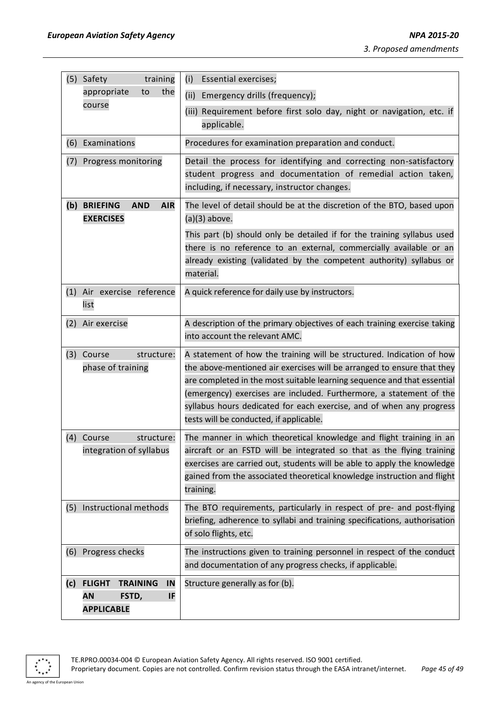| (5) Safety<br>training                                                                  | <b>Essential exercises;</b><br>(i)                                                                                                                                                                                                                                                                                                                                                                                   |  |
|-----------------------------------------------------------------------------------------|----------------------------------------------------------------------------------------------------------------------------------------------------------------------------------------------------------------------------------------------------------------------------------------------------------------------------------------------------------------------------------------------------------------------|--|
| the<br>appropriate<br>to                                                                | (ii)<br>Emergency drills (frequency);                                                                                                                                                                                                                                                                                                                                                                                |  |
| course                                                                                  | (iii) Requirement before first solo day, night or navigation, etc. if<br>applicable.                                                                                                                                                                                                                                                                                                                                 |  |
| Examinations<br>(6)                                                                     | Procedures for examination preparation and conduct.                                                                                                                                                                                                                                                                                                                                                                  |  |
| Progress monitoring<br>(7)                                                              | Detail the process for identifying and correcting non-satisfactory<br>student progress and documentation of remedial action taken,<br>including, if necessary, instructor changes.                                                                                                                                                                                                                                   |  |
| (b) BRIEFING<br><b>AND</b><br><b>AIR</b><br><b>EXERCISES</b>                            | The level of detail should be at the discretion of the BTO, based upon<br>$(a)(3)$ above.                                                                                                                                                                                                                                                                                                                            |  |
|                                                                                         | This part (b) should only be detailed if for the training syllabus used<br>there is no reference to an external, commercially available or an<br>already existing (validated by the competent authority) syllabus or<br>material.                                                                                                                                                                                    |  |
| (1) Air exercise reference<br>list                                                      | A quick reference for daily use by instructors.                                                                                                                                                                                                                                                                                                                                                                      |  |
| (2)<br>Air exercise                                                                     | A description of the primary objectives of each training exercise taking<br>into account the relevant AMC.                                                                                                                                                                                                                                                                                                           |  |
| (3)<br>Course<br>structure:<br>phase of training                                        | A statement of how the training will be structured. Indication of how<br>the above-mentioned air exercises will be arranged to ensure that they<br>are completed in the most suitable learning sequence and that essential<br>(emergency) exercises are included. Furthermore, a statement of the<br>syllabus hours dedicated for each exercise, and of when any progress<br>tests will be conducted, if applicable. |  |
| (4) Course<br>structure:<br>integration of syllabus                                     | The manner in which theoretical knowledge and flight training in an<br>aircraft or an FSTD will be integrated so that as the flying training<br>exercises are carried out, students will be able to apply the knowledge<br>gained from the associated theoretical knowledge instruction and flight<br>training.                                                                                                      |  |
| Instructional methods<br>(5)                                                            | The BTO requirements, particularly in respect of pre- and post-flying<br>briefing, adherence to syllabi and training specifications, authorisation<br>of solo flights, etc.                                                                                                                                                                                                                                          |  |
| (6) Progress checks                                                                     | The instructions given to training personnel in respect of the conduct<br>and documentation of any progress checks, if applicable.                                                                                                                                                                                                                                                                                   |  |
| <b>FLIGHT</b><br>(c)<br><b>TRAINING</b><br>IN<br>FSTD,<br>AN<br>IF<br><b>APPLICABLE</b> | Structure generally as for (b).                                                                                                                                                                                                                                                                                                                                                                                      |  |

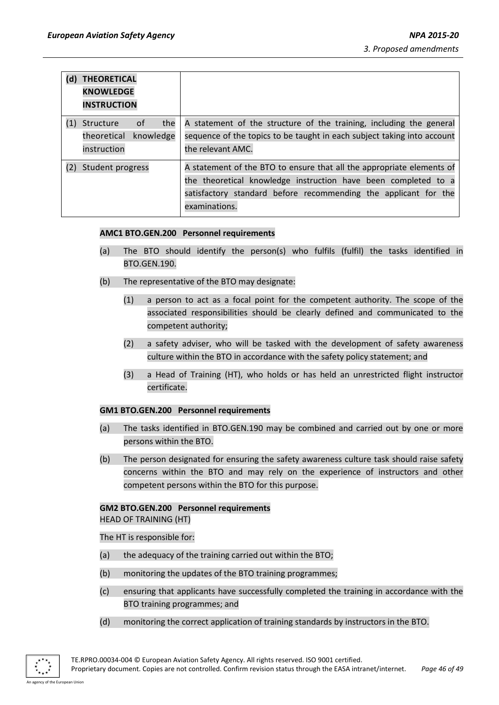| (d) | <b>THEORETICAL</b><br><b>KNOWLEDGE</b><br><b>INSTRUCTION</b>                                                                                                                                                                                    |                                                                                                                                                                     |
|-----|-------------------------------------------------------------------------------------------------------------------------------------------------------------------------------------------------------------------------------------------------|---------------------------------------------------------------------------------------------------------------------------------------------------------------------|
|     | the<br>0f<br>Structure<br>theoretical knowledge<br>instruction                                                                                                                                                                                  | A statement of the structure of the training, including the general<br>sequence of the topics to be taught in each subject taking into account<br>the relevant AMC. |
| (2) | A statement of the BTO to ensure that all the appropriate elements of<br>Student progress<br>the theoretical knowledge instruction have been completed to a<br>satisfactory standard before recommending the applicant for the<br>examinations. |                                                                                                                                                                     |

## **AMC1 BTO.GEN.200 Personnel requirements**

- (a) The BTO should identify the person(s) who fulfils (fulfil) the tasks identified in BTO.GEN.190.
- (b) The representative of the BTO may designate:
	- (1) a person to act as a focal point for the competent authority. The scope of the associated responsibilities should be clearly defined and communicated to the competent authority;
	- (2) a safety adviser, who will be tasked with the development of safety awareness culture within the BTO in accordance with the safety policy statement; and
	- (3) a Head of Training (HT), who holds or has held an unrestricted flight instructor certificate.

#### **GM1 BTO.GEN.200 Personnel requirements**

- (a) The tasks identified in BTO.GEN.190 may be combined and carried out by one or more persons within the BTO.
- (b) The person designated for ensuring the safety awareness culture task should raise safety concerns within the BTO and may rely on the experience of instructors and other competent persons within the BTO for this purpose.

## **GM2 BTO.GEN.200 Personnel requirements**

HEAD OF TRAINING (HT)

The HT is responsible for:

- (a) the adequacy of the training carried out within the BTO;
- (b) monitoring the updates of the BTO training programmes;
- (c) ensuring that applicants have successfully completed the training in accordance with the BTO training programmes; and
- (d) monitoring the correct application of training standards by instructors in the BTO.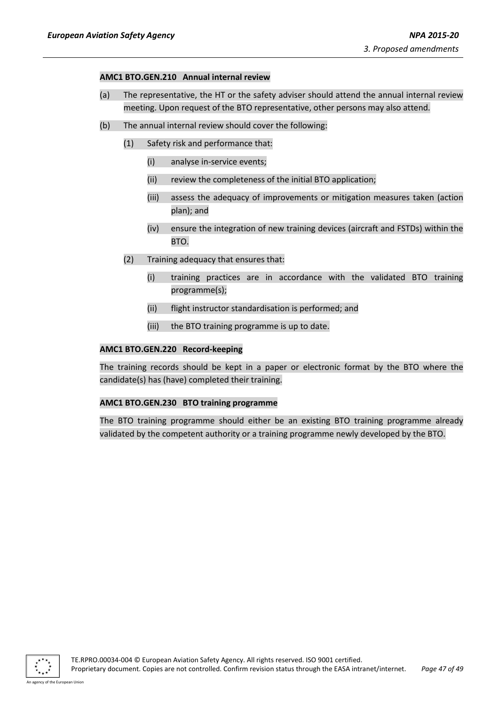#### **AMC1 BTO.GEN.210 Annual internal review**

- (a) The representative, the HT or the safety adviser should attend the annual internal review meeting. Upon request of the BTO representative, other persons may also attend.
- (b) The annual internal review should cover the following:
	- (1) Safety risk and performance that:
		- (i) analyse in-service events;
		- (ii) review the completeness of the initial BTO application;
		- (iii) assess the adequacy of improvements or mitigation measures taken (action plan); and
		- (iv) ensure the integration of new training devices (aircraft and FSTDs) within the BTO.
	- (2) Training adequacy that ensures that:
		- (i) training practices are in accordance with the validated BTO training programme(s);
		- (ii) flight instructor standardisation is performed; and
		- (iii) the BTO training programme is up to date.

## **AMC1 BTO.GEN.220 Record-keeping**

The training records should be kept in a paper or electronic format by the BTO where the candidate(s) has (have) completed their training.

#### **AMC1 BTO.GEN.230 BTO training programme**

The BTO training programme should either be an existing BTO training programme already validated by the competent authority or a training programme newly developed by the BTO.

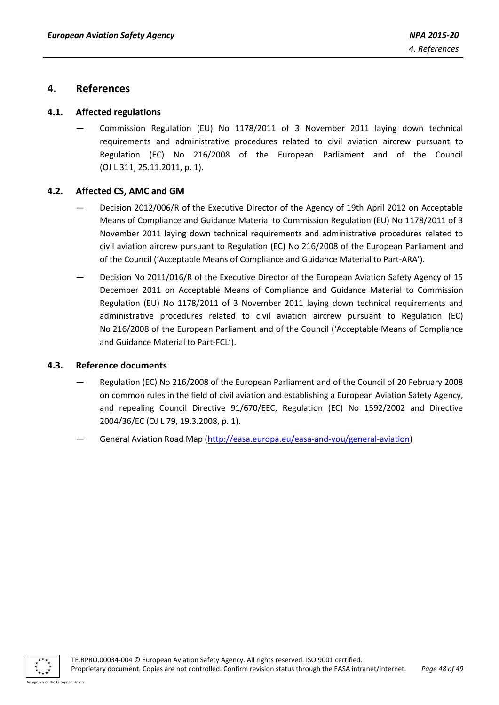## <span id="page-47-0"></span>**4. References**

## <span id="page-47-1"></span>**4.1. Affected regulations**

Commission Regulation (EU) No 1178/2011 of 3 November 2011 laying down technical requirements and administrative procedures related to civil aviation aircrew pursuant to Regulation (EC) No 216/2008 of the European Parliament and of the Council (OJ L 311, 25.11.2011, p. 1).

## <span id="page-47-2"></span>**4.2. Affected CS, AMC and GM**

- Decision 2012/006/R of the Executive Director of the Agency of 19th April 2012 on Acceptable Means of Compliance and Guidance Material to Commission Regulation (EU) No 1178/2011 of 3 November 2011 laying down technical requirements and administrative procedures related to civil aviation aircrew pursuant to Regulation (EC) No 216/2008 of the European Parliament and of the Council ('Acceptable Means of Compliance and Guidance Material to Part-ARA').
- Decision No 2011/016/R of the Executive Director of the European Aviation Safety Agency of 15 December 2011 on Acceptable Means of Compliance and Guidance Material to Commission Regulation (EU) No 1178/2011 of 3 November 2011 laying down technical requirements and administrative procedures related to civil aviation aircrew pursuant to Regulation (EC) No 216/2008 of the European Parliament and of the Council ('Acceptable Means of Compliance and Guidance Material to Part-FCL').

#### <span id="page-47-3"></span>**4.3. Reference documents**

- Regulation (EC) No 216/2008 of the European Parliament and of the Council of 20 February 2008 on common rules in the field of civil aviation and establishing a European Aviation Safety Agency, and repealing Council Directive 91/670/EEC, Regulation (EC) No 1592/2002 and Directive 2004/36/EC (OJ L 79, 19.3.2008, p. 1).
- General Aviation Road Map [\(http://easa.europa.eu/easa-and-you/general-aviation\)](http://easa.europa.eu/easa-and-you/general-aviation)